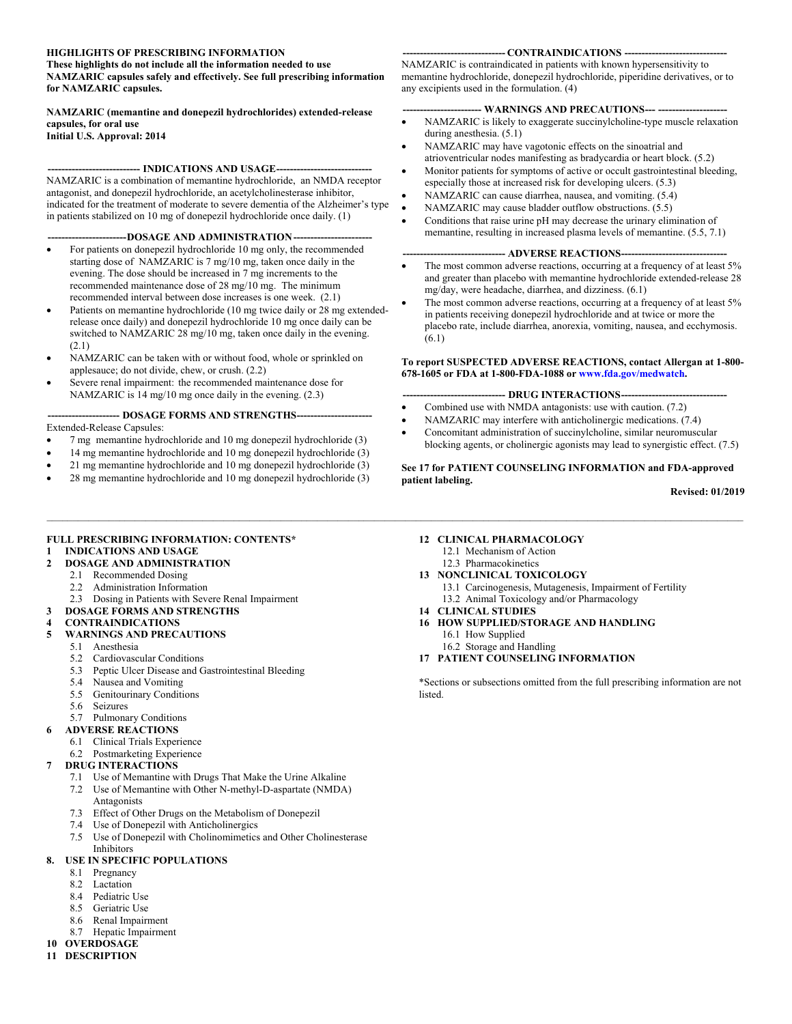#### **HIGHLIGHTS OF PRESCRIBING INFORMATION**

**These highlights do not include all the information needed to use NAMZARIC capsules safely and effectively. See full prescribing information for NAMZARIC capsules.** 

**NAMZARIC (memantine and donepezil hydrochlorides) extended-release capsules, for oral use Initial U.S. Approval: 2014** 

#### -- INDICATIONS AND USAGE----

NAMZARIC is a combination of memantine hydrochloride, an NMDA receptor antagonist, and donepezil hydrochloride, an acetylcholinesterase inhibitor, indicated for the treatment of moderate to severe dementia of the Alzheimer's type in patients stabilized on 10 mg of donepezil hydrochloride once daily. (1)

#### ---DOSAGE AND ADMINISTRATION ----

- For patients on donepezil hydrochloride 10 mg only, the recommended starting dose of NAMZARIC is 7 mg/10 mg, taken once daily in the evening. The dose should be increased in 7 mg increments to the recommended maintenance dose of 28 mg/10 mg. The minimum recommended interval between dose increases is one week. (2.1)
- Patients on memantine hydrochloride (10 mg twice daily or 28 mg extendedrelease once daily) and donepezil hydrochloride 10 mg once daily can be switched to NAMZARIC 28 mg/10 mg, taken once daily in the evening. (2.1)
- NAMZARIC can be taken with or without food, whole or sprinkled on applesauce; do not divide, chew, or crush. (2.2)
- Severe renal impairment: the recommended maintenance dose for NAMZARIC is 14 mg/10 mg once daily in the evening. (2.3)

#### **--------------------- DOSAGE FORMS AND STRENGTHS ----------------------**

Extended-Release Capsules:

- 7 mg memantine hydrochloride and 10 mg donepezil hydrochloride (3)
- 14 mg memantine hydrochloride and 10 mg donepezil hydrochloride (3)
- 21 mg memantine hydrochloride and 10 mg donepezil hydrochloride (3)
- 28 mg memantine hydrochloride and 10 mg donepezil hydrochloride (3)

#### --- CONTRAINDICATIONS ---

NAMZARIC is contraindicated in patients with known hypersensitivity to memantine hydrochloride, donepezil hydrochloride, piperidine derivatives, or to any excipients used in the formulation. (4)

#### --- WARNINGS AND PRECAUTIONS --- -----

- NAMZARIC is likely to exaggerate succinylcholine-type muscle relaxation during anesthesia. (5.1)
- NAMZARIC may have vagotonic effects on the sinoatrial and atrioventricular nodes manifesting as bradycardia or heart block. (5.2)
- Monitor patients for symptoms of active or occult gastrointestinal bleeding, especially those at increased risk for developing ulcers. (5.3)
- NAMZARIC can cause diarrhea, nausea, and vomiting. (5.4)
- NAMZARIC may cause bladder outflow obstructions. (5.5)
- Conditions that raise urine pH may decrease the urinary elimination of memantine, resulting in increased plasma levels of memantine. (5.5, 7.1)

#### --- ADVERSE REACTIONS--

- The most common adverse reactions, occurring at a frequency of at least 5% and greater than placebo with memantine hydrochloride extended-release 28 mg/day, were headache, diarrhea, and dizziness. (6.1)
- The most common adverse reactions, occurring at a frequency of at least 5% in patients receiving donepezil hydrochloride and at twice or more the placebo rate, include diarrhea, anorexia, vomiting, nausea, and ecchymosis. (6.1)

#### **To report SUSPECTED ADVERSE REACTIONS, contact Allergan at 1-800- 678-1605 or FDA at 1-800-FDA-1088 or www.fda.gov/medwatch.**

#### --- DRUG INTERACTIONS --

- Combined use with NMDA antagonists: use with caution. (7.2)
- NAMZARIC may interfere with anticholinergic medications. (7.4)
- Concomitant administration of succinylcholine, similar neuromuscular blocking agents, or cholinergic agonists may lead to synergistic effect. (7.5)

#### **See 17 for PATIENT COUNSELING INFORMATION and FDA-approved patient labeling.**

**Revised: 01/2019**

#### **FULL PRESCRIBING INFORMATION: CONTENTS\* 1 INDICATIONS AND USAGE**

#### **2 DOSAGE AND ADMINISTRATION**

- 2.1 Recommended Dosing
- 2.2 Administration Information
- 2.3 Dosing in Patients with Severe Renal Impairment

#### **3 DOSAGE FORMS AND STRENGTHS**

#### **4 CONTRAINDICATIONS**

- **5 WARNINGS AND PRECAUTIONS**
	- 5.1 Anesthesia
	- 5.2 Cardiovascular Conditions
	- 5.3 Peptic Ulcer Disease and Gastrointestinal Bleeding
	- 5.4 Nausea and Vomiting
	- 5.5 Genitourinary Conditions
	- 5.6 Seizures
	- 5.7 Pulmonary Conditions
- **6 ADVERSE REACTIONS**
	- 6.1 Clinical Trials Experience
	- 6.2 Postmarketing Experience

#### **7 DRUG INTERACTIONS**

- 7.1 Use of Memantine with Drugs That Make the Urine Alkaline 7.2 Use of Memantine with Other N-methyl-D-aspartate (NMDA)
- Antagonists
- 7.3 Effect of Other Drugs on the Metabolism of Donepezil
- 7.4 Use of Donepezil with Anticholinergics
- 7.5 Use of Donepezil with Cholinomimetics and Other Cholinesterase Inhibitors

#### **8. USE IN SPECIFIC POPULATIONS**

- 8.1 Pregnancy
- 8.2 Lactation
- 8.4 Pediatric Use
- 8.5 Geriatric Use
- 8.6 Renal Impairment
- 8.7 Hepatic Impairment
- **10 OVERDOSAGE**
- **11 DESCRIPTION**

#### **12 CLINICAL PHARMACOLOGY**

- 12.1 Mechanism of Action
- 12.3 Pharmacokinetics

#### **13 NONCLINICAL TOXICOLOGY**

- 13.1 Carcinogenesis, Mutagenesis, Impairment of Fertility 13.2 Animal Toxicology and/or Pharmacology
- **14 CLINICAL STUDIES**

 $\_$  , and the state of the state of the state of the state of the state of the state of the state of the state of the state of the state of the state of the state of the state of the state of the state of the state of the

- **16 HOW SUPPLIED/STORAGE AND HANDLING**
	- 16.1 How Supplied
	- 16.2 Storage and Handling

#### **17 PATIENT COUNSELING INFORMATION**

\*Sections or subsections omitted from the full prescribing information are not listed.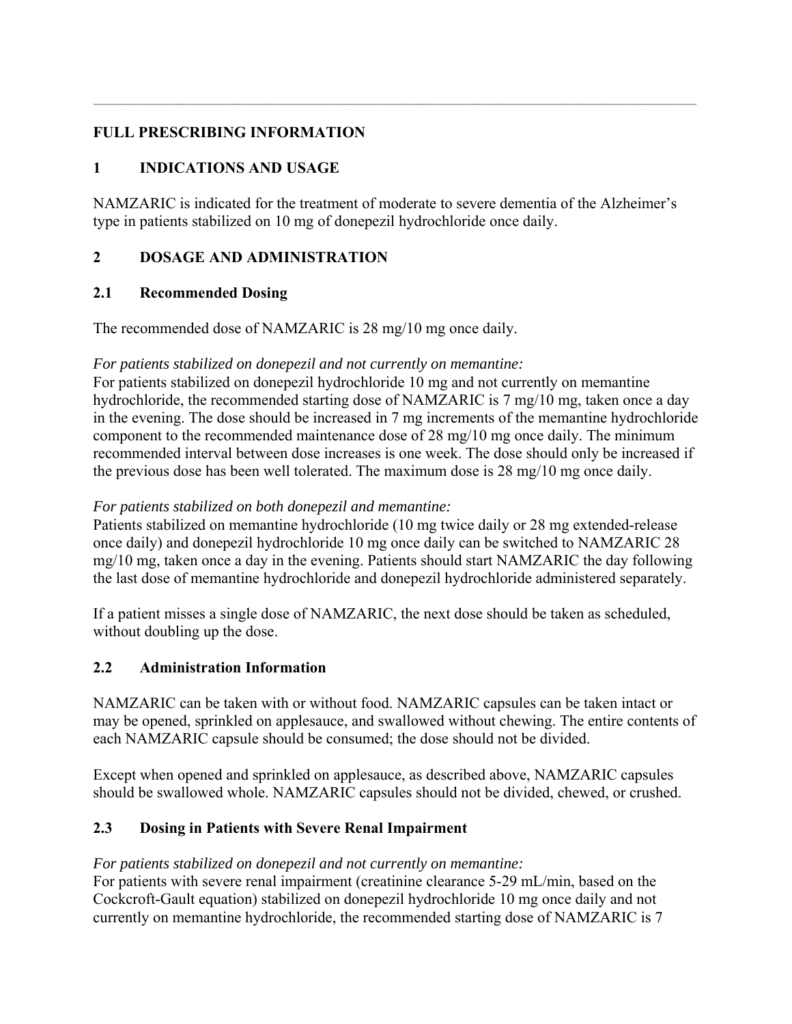## **FULL PRESCRIBING INFORMATION**

# **1 INDICATIONS AND USAGE**

NAMZARIC is indicated for the treatment of moderate to severe dementia of the Alzheimer's type in patients stabilized on 10 mg of donepezil hydrochloride once daily.

 $\mathcal{L} = \{ \mathcal{L} = \{ \mathcal{L} = \{ \mathcal{L} = \{ \mathcal{L} = \{ \mathcal{L} = \{ \mathcal{L} = \{ \mathcal{L} = \{ \mathcal{L} = \{ \mathcal{L} = \{ \mathcal{L} = \{ \mathcal{L} = \{ \mathcal{L} = \{ \mathcal{L} = \{ \mathcal{L} = \{ \mathcal{L} = \{ \mathcal{L} = \{ \mathcal{L} = \{ \mathcal{L} = \{ \mathcal{L} = \{ \mathcal{L} = \{ \mathcal{L} = \{ \mathcal{L} = \{ \mathcal{L} = \{ \mathcal{$ 

## **2 DOSAGE AND ADMINISTRATION**

## **2.1 Recommended Dosing**

The recommended dose of NAMZARIC is 28 mg/10 mg once daily.

## *For patients stabilized on donepezil and not currently on memantine:*

For patients stabilized on donepezil hydrochloride 10 mg and not currently on memantine hydrochloride, the recommended starting dose of NAMZARIC is 7 mg/10 mg, taken once a day in the evening. The dose should be increased in 7 mg increments of the memantine hydrochloride component to the recommended maintenance dose of 28 mg/10 mg once daily. The minimum recommended interval between dose increases is one week. The dose should only be increased if the previous dose has been well tolerated. The maximum dose is 28 mg/10 mg once daily.

## *For patients stabilized on both donepezil and memantine:*

Patients stabilized on memantine hydrochloride (10 mg twice daily or 28 mg extended-release once daily) and donepezil hydrochloride 10 mg once daily can be switched to NAMZARIC 28 mg/10 mg, taken once a day in the evening. Patients should start NAMZARIC the day following the last dose of memantine hydrochloride and donepezil hydrochloride administered separately.

If a patient misses a single dose of NAMZARIC, the next dose should be taken as scheduled, without doubling up the dose.

## **2.2 Administration Information**

NAMZARIC can be taken with or without food. NAMZARIC capsules can be taken intact or may be opened, sprinkled on applesauce, and swallowed without chewing. The entire contents of each NAMZARIC capsule should be consumed; the dose should not be divided.

Except when opened and sprinkled on applesauce, as described above, NAMZARIC capsules should be swallowed whole. NAMZARIC capsules should not be divided, chewed, or crushed.

## **2.3 Dosing in Patients with Severe Renal Impairment**

## *For patients stabilized on donepezil and not currently on memantine:*

For patients with severe renal impairment (creatinine clearance 5-29 mL/min, based on the Cockcroft-Gault equation) stabilized on donepezil hydrochloride 10 mg once daily and not currently on memantine hydrochloride, the recommended starting dose of NAMZARIC is 7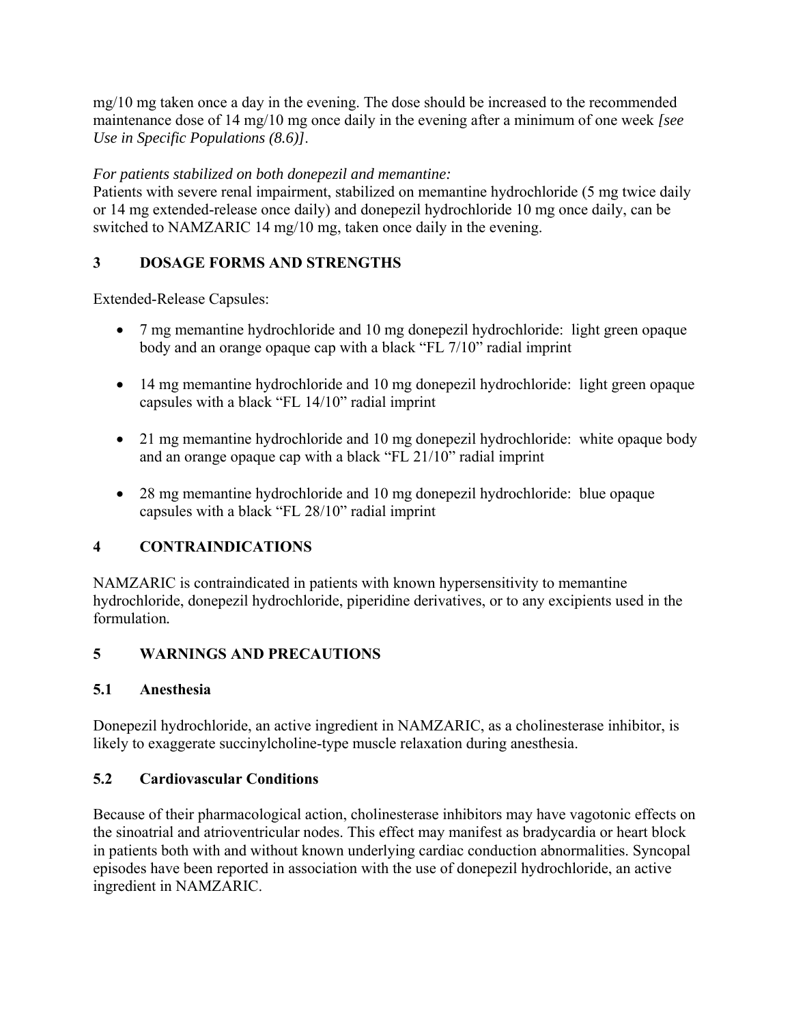mg/10 mg taken once a day in the evening. The dose should be increased to the recommended maintenance dose of 14 mg/10 mg once daily in the evening after a minimum of one week *[see Use in Specific Populations (8.6)]*.

## *For patients stabilized on both donepezil and memantine:*

Patients with severe renal impairment, stabilized on memantine hydrochloride (5 mg twice daily or 14 mg extended-release once daily) and donepezil hydrochloride 10 mg once daily, can be switched to NAMZARIC 14 mg/10 mg, taken once daily in the evening.

## **3 DOSAGE FORMS AND STRENGTHS**

Extended-Release Capsules:

- 7 mg memantine hydrochloride and 10 mg donepezil hydrochloride: light green opaque body and an orange opaque cap with a black "FL 7/10" radial imprint
- 14 mg memantine hydrochloride and 10 mg donepezil hydrochloride: light green opaque capsules with a black "FL 14/10" radial imprint
- 21 mg memantine hydrochloride and 10 mg donepezil hydrochloride: white opaque body and an orange opaque cap with a black "FL 21/10" radial imprint
- 28 mg memantine hydrochloride and 10 mg donepezil hydrochloride: blue opaque capsules with a black "FL 28/10" radial imprint

## **4 CONTRAINDICATIONS**

NAMZARIC is contraindicated in patients with known hypersensitivity to memantine hydrochloride, donepezil hydrochloride, piperidine derivatives, or to any excipients used in the formulation*.* 

## **5 WARNINGS AND PRECAUTIONS**

## **5.1 Anesthesia**

Donepezil hydrochloride, an active ingredient in NAMZARIC, as a cholinesterase inhibitor, is likely to exaggerate succinylcholine-type muscle relaxation during anesthesia.

## **5.2 Cardiovascular Conditions**

Because of their pharmacological action, cholinesterase inhibitors may have vagotonic effects on the sinoatrial and atrioventricular nodes. This effect may manifest as bradycardia or heart block in patients both with and without known underlying cardiac conduction abnormalities. Syncopal episodes have been reported in association with the use of donepezil hydrochloride, an active ingredient in NAMZARIC.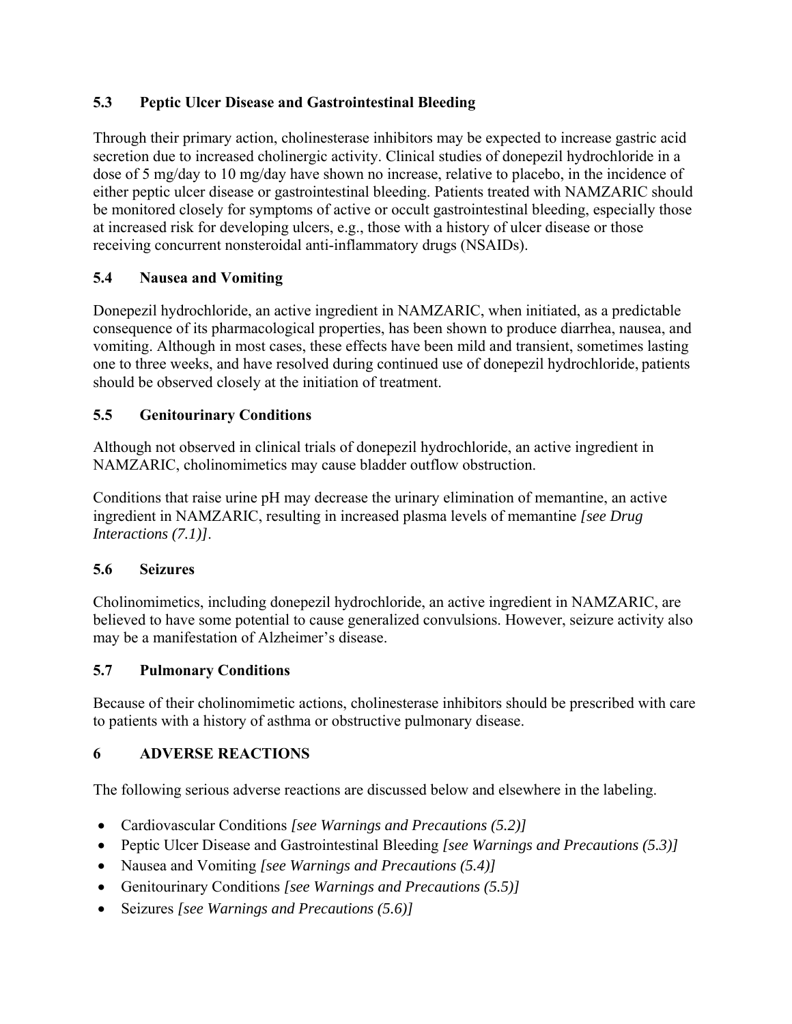# **5.3 Peptic Ulcer Disease and Gastrointestinal Bleeding**

Through their primary action, cholinesterase inhibitors may be expected to increase gastric acid secretion due to increased cholinergic activity. Clinical studies of donepezil hydrochloride in a dose of 5 mg/day to 10 mg/day have shown no increase, relative to placebo, in the incidence of either peptic ulcer disease or gastrointestinal bleeding. Patients treated with NAMZARIC should be monitored closely for symptoms of active or occult gastrointestinal bleeding, especially those at increased risk for developing ulcers, e.g., those with a history of ulcer disease or those receiving concurrent nonsteroidal anti-inflammatory drugs (NSAIDs).

## **5.4 Nausea and Vomiting**

Donepezil hydrochloride, an active ingredient in NAMZARIC, when initiated, as a predictable consequence of its pharmacological properties, has been shown to produce diarrhea, nausea, and vomiting. Although in most cases, these effects have been mild and transient, sometimes lasting one to three weeks, and have resolved during continued use of donepezil hydrochloride, patients should be observed closely at the initiation of treatment.

## **5.5 Genitourinary Conditions**

Although not observed in clinical trials of donepezil hydrochloride, an active ingredient in NAMZARIC, cholinomimetics may cause bladder outflow obstruction.

Conditions that raise urine pH may decrease the urinary elimination of memantine, an active ingredient in NAMZARIC, resulting in increased plasma levels of memantine *[see Drug Interactions (7.1)]*.

## **5.6 Seizures**

Cholinomimetics, including donepezil hydrochloride, an active ingredient in NAMZARIC, are believed to have some potential to cause generalized convulsions. However, seizure activity also may be a manifestation of Alzheimer's disease.

## **5.7 Pulmonary Conditions**

Because of their cholinomimetic actions, cholinesterase inhibitors should be prescribed with care to patients with a history of asthma or obstructive pulmonary disease.

## **6 ADVERSE REACTIONS**

The following serious adverse reactions are discussed below and elsewhere in the labeling.

- Cardiovascular Conditions *[see Warnings and Precautions (5.2)]*
- Peptic Ulcer Disease and Gastrointestinal Bleeding *[see Warnings and Precautions (5.3)]*
- Nausea and Vomiting *[see Warnings and Precautions (5.4)]*
- Genitourinary Conditions *[see Warnings and Precautions (5.5)]*
- Seizures *[see Warnings and Precautions (5.6)]*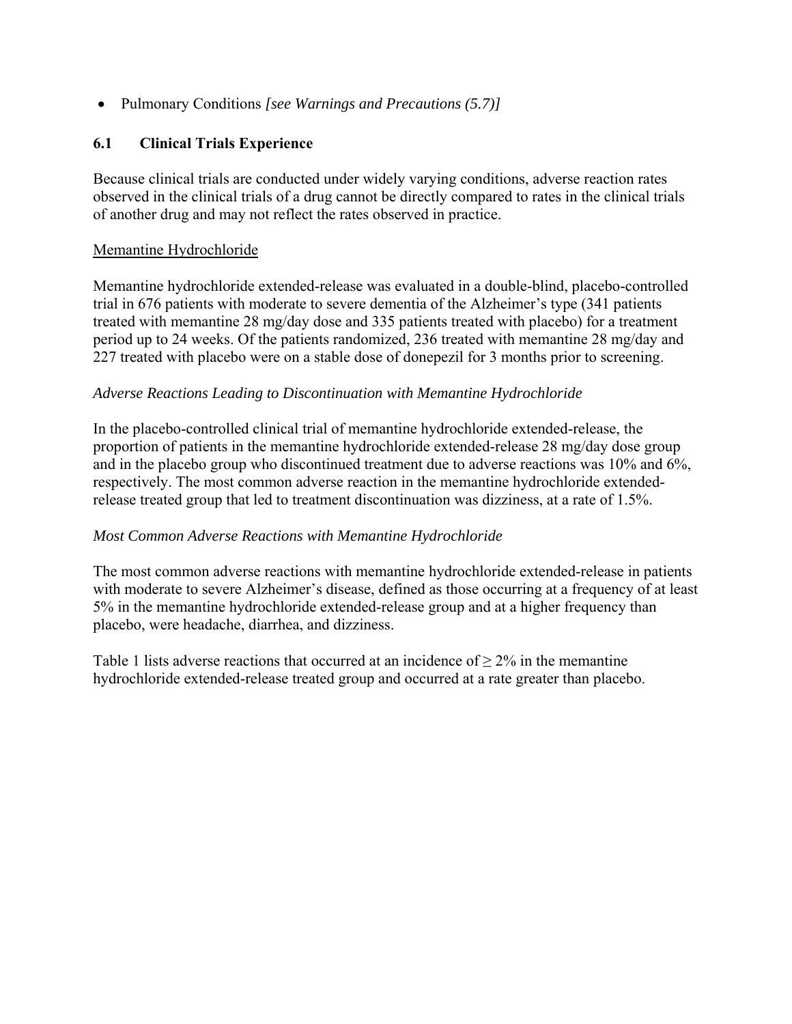Pulmonary Conditions *[see Warnings and Precautions (5.7)]*

## **6.1 Clinical Trials Experience**

Because clinical trials are conducted under widely varying conditions, adverse reaction rates observed in the clinical trials of a drug cannot be directly compared to rates in the clinical trials of another drug and may not reflect the rates observed in practice.

#### Memantine Hydrochloride

Memantine hydrochloride extended-release was evaluated in a double-blind, placebo-controlled trial in 676 patients with moderate to severe dementia of the Alzheimer's type (341 patients treated with memantine 28 mg/day dose and 335 patients treated with placebo) for a treatment period up to 24 weeks. Of the patients randomized, 236 treated with memantine 28 mg/day and 227 treated with placebo were on a stable dose of donepezil for 3 months prior to screening.

#### *Adverse Reactions Leading to Discontinuation with Memantine Hydrochloride*

In the placebo-controlled clinical trial of memantine hydrochloride extended-release, the proportion of patients in the memantine hydrochloride extended-release 28 mg/day dose group and in the placebo group who discontinued treatment due to adverse reactions was 10% and 6%, respectively. The most common adverse reaction in the memantine hydrochloride extendedrelease treated group that led to treatment discontinuation was dizziness, at a rate of 1.5%.

## *Most Common Adverse Reactions with Memantine Hydrochloride*

The most common adverse reactions with memantine hydrochloride extended-release in patients with moderate to severe Alzheimer's disease, defined as those occurring at a frequency of at least 5% in the memantine hydrochloride extended-release group and at a higher frequency than placebo, were headache, diarrhea, and dizziness.

Table 1 lists adverse reactions that occurred at an incidence of  $> 2\%$  in the memantine hydrochloride extended-release treated group and occurred at a rate greater than placebo.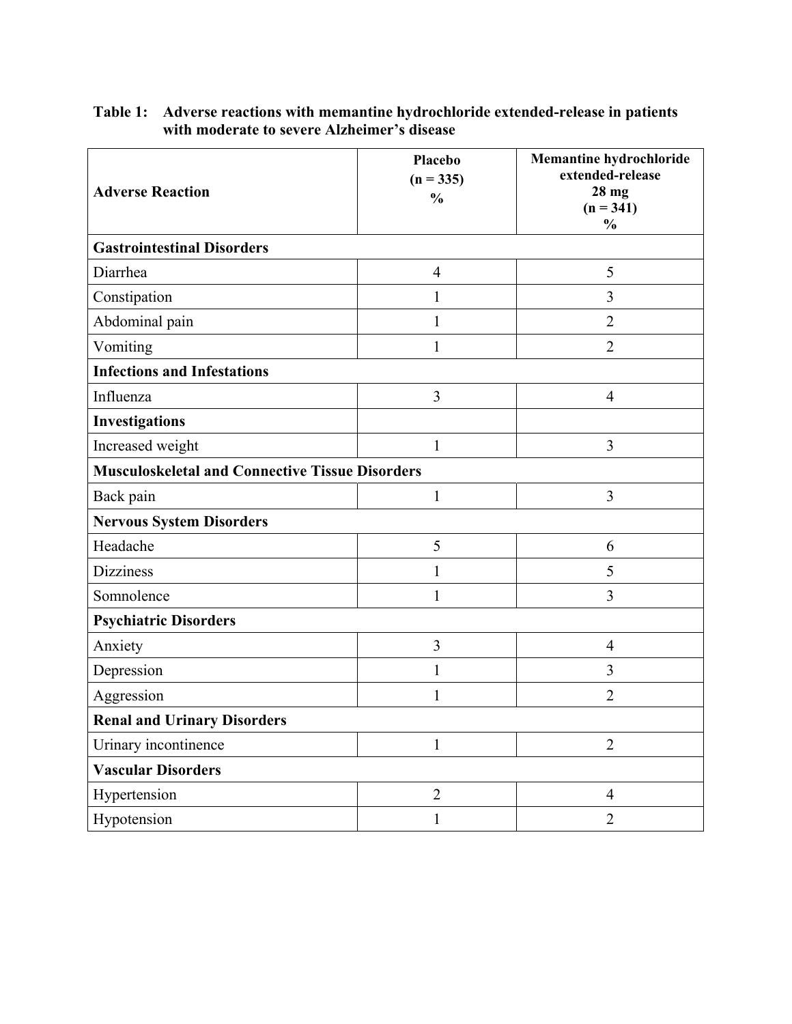| <b>Adverse Reaction</b>                                | Placebo<br>$(n = 335)$<br>$\frac{0}{0}$ | <b>Memantine hydrochloride</b><br>extended-release<br>$28$ mg<br>$(n = 341)$<br>$\frac{0}{0}$ |  |
|--------------------------------------------------------|-----------------------------------------|-----------------------------------------------------------------------------------------------|--|
| <b>Gastrointestinal Disorders</b>                      |                                         |                                                                                               |  |
| Diarrhea                                               | $\overline{4}$                          | 5                                                                                             |  |
| Constipation                                           | 1                                       | 3                                                                                             |  |
| Abdominal pain                                         | 1                                       | $\overline{2}$                                                                                |  |
| Vomiting                                               | $\mathbf{1}$                            | $\overline{2}$                                                                                |  |
| <b>Infections and Infestations</b>                     |                                         |                                                                                               |  |
| Influenza                                              | 3                                       | $\overline{4}$                                                                                |  |
| <b>Investigations</b>                                  |                                         |                                                                                               |  |
| Increased weight                                       | 1                                       | 3                                                                                             |  |
| <b>Musculoskeletal and Connective Tissue Disorders</b> |                                         |                                                                                               |  |
| Back pain                                              | $\mathbf{1}$                            | 3                                                                                             |  |
| <b>Nervous System Disorders</b>                        |                                         |                                                                                               |  |
| Headache                                               | 5                                       | 6                                                                                             |  |
| <b>Dizziness</b>                                       | $\mathbf{1}$                            | 5                                                                                             |  |
| Somnolence                                             | $\mathbf{1}$                            | 3                                                                                             |  |
| <b>Psychiatric Disorders</b>                           |                                         |                                                                                               |  |
| Anxiety                                                | $\overline{3}$                          | $\overline{4}$                                                                                |  |
| Depression                                             | 1                                       | 3                                                                                             |  |
| Aggression                                             | 1                                       | $\overline{2}$                                                                                |  |
| <b>Renal and Urinary Disorders</b>                     |                                         |                                                                                               |  |
| Urinary incontinence                                   | $\mathbf{1}$                            | $\overline{2}$                                                                                |  |
| <b>Vascular Disorders</b>                              |                                         |                                                                                               |  |
| Hypertension                                           | $\overline{2}$                          | 4                                                                                             |  |
| Hypotension                                            | $\mathbf{1}$                            | $\overline{2}$                                                                                |  |

#### **Table 1: Adverse reactions with memantine hydrochloride extended-release in patients with moderate to severe Alzheimer's disease**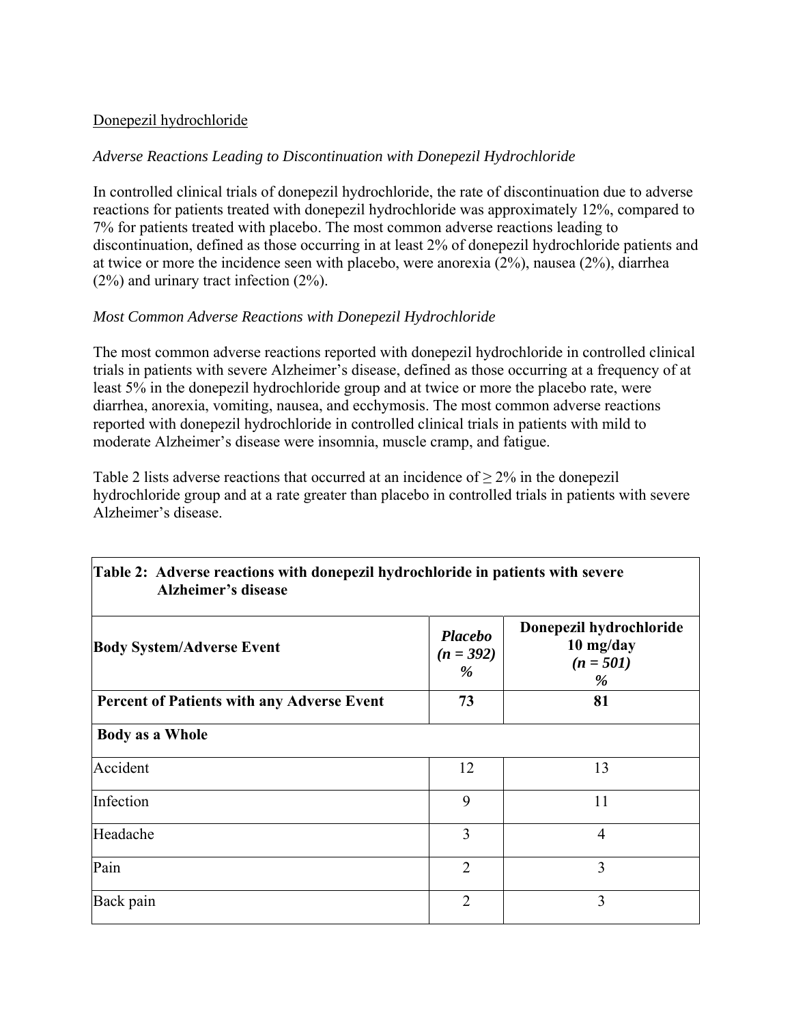#### Donepezil hydrochloride

#### *Adverse Reactions Leading to Discontinuation with Donepezil Hydrochloride*

In controlled clinical trials of donepezil hydrochloride, the rate of discontinuation due to adverse reactions for patients treated with donepezil hydrochloride was approximately 12%, compared to 7% for patients treated with placebo. The most common adverse reactions leading to discontinuation, defined as those occurring in at least 2% of donepezil hydrochloride patients and at twice or more the incidence seen with placebo, were anorexia (2%), nausea (2%), diarrhea (2%) and urinary tract infection (2%).

## *Most Common Adverse Reactions with Donepezil Hydrochloride*

The most common adverse reactions reported with donepezil hydrochloride in controlled clinical trials in patients with severe Alzheimer's disease, defined as those occurring at a frequency of at least 5% in the donepezil hydrochloride group and at twice or more the placebo rate, were diarrhea, anorexia, vomiting, nausea, and ecchymosis. The most common adverse reactions reported with donepezil hydrochloride in controlled clinical trials in patients with mild to moderate Alzheimer's disease were insomnia, muscle cramp, and fatigue.

Table 2 lists adverse reactions that occurred at an incidence of  $> 2\%$  in the donepezil hydrochloride group and at a rate greater than placebo in controlled trials in patients with severe Alzheimer's disease.

| <b>Body System/Adverse Event</b>                  | <b>Placebo</b><br>$(n = 392)$<br>% | Donepezil hydrochloride<br>10 mg/day<br>$(n = 501)$<br>% |
|---------------------------------------------------|------------------------------------|----------------------------------------------------------|
| <b>Percent of Patients with any Adverse Event</b> | 73                                 | 81                                                       |
| <b>Body as a Whole</b>                            |                                    |                                                          |
| Accident                                          | 12                                 | 13                                                       |
| Infection                                         | 9                                  | 11                                                       |
| Headache                                          | 3                                  | $\overline{4}$                                           |
| Pain                                              | $\overline{2}$                     | 3                                                        |
| Back pain                                         | $\overline{2}$                     | 3                                                        |

## **Table 2: Adverse reactions with donepezil hydrochloride in patients with severe Alzheimer's disease**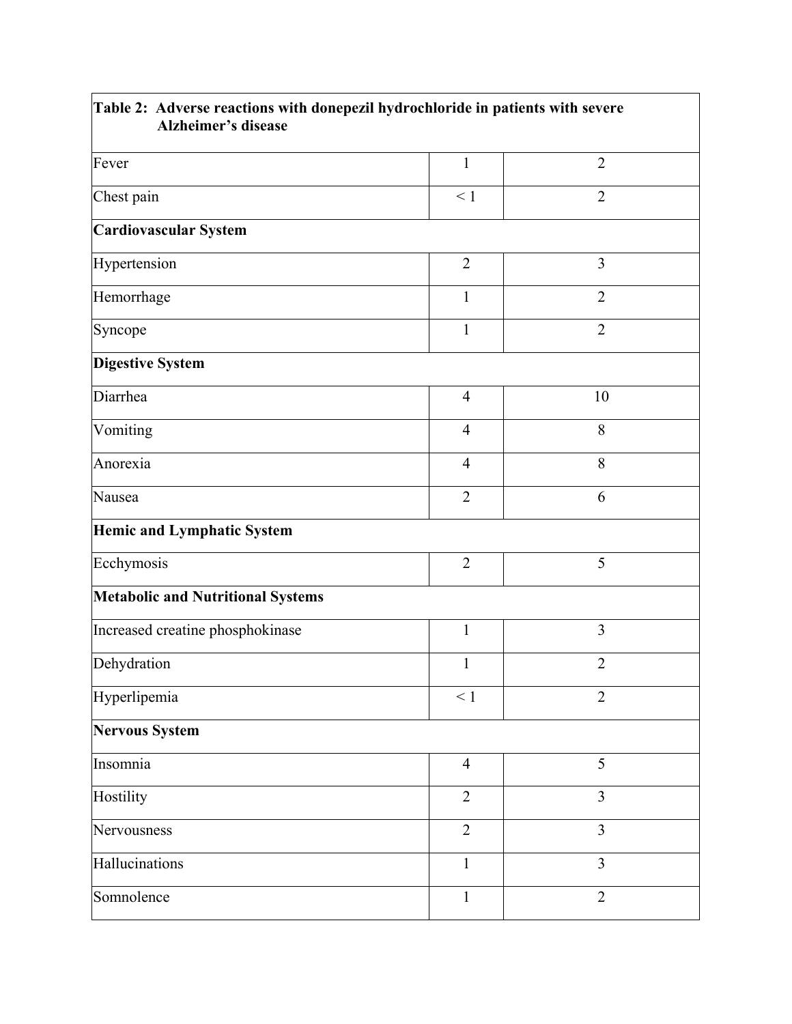| Table 2: Adverse reactions with donepezil hydrochloride in patients with severe<br><b>Alzheimer's disease</b> |                |                |
|---------------------------------------------------------------------------------------------------------------|----------------|----------------|
| Fever                                                                                                         | $\mathbf{1}$   | $\overline{2}$ |
| Chest pain                                                                                                    | $\leq 1$       | $\overline{2}$ |
| <b>Cardiovascular System</b>                                                                                  |                |                |
| Hypertension                                                                                                  | $\overline{2}$ | $\overline{3}$ |
| Hemorrhage                                                                                                    | $\mathbf{1}$   | $\overline{2}$ |
| Syncope                                                                                                       | $\mathbf{1}$   | $\overline{2}$ |
| <b>Digestive System</b>                                                                                       |                |                |
| Diarrhea                                                                                                      | $\overline{4}$ | 10             |
| Vomiting                                                                                                      | $\overline{4}$ | 8              |
| Anorexia                                                                                                      | $\overline{4}$ | 8              |
| Nausea                                                                                                        | $\overline{2}$ | 6              |
| <b>Hemic and Lymphatic System</b>                                                                             |                |                |
| Ecchymosis                                                                                                    | $\overline{2}$ | 5              |
| <b>Metabolic and Nutritional Systems</b>                                                                      |                |                |
| Increased creatine phosphokinase                                                                              | $\mathbf{1}$   | 3              |
| Dehydration                                                                                                   | $\mathbf{1}$   | $\overline{2}$ |
| Hyperlipemia                                                                                                  | $\leq 1$       | $\overline{2}$ |
| <b>Nervous System</b>                                                                                         |                |                |
| Insomnia                                                                                                      | $\overline{4}$ | 5              |
| Hostility                                                                                                     | $\overline{2}$ | 3              |
| Nervousness                                                                                                   | $\overline{2}$ | $\overline{3}$ |
| Hallucinations                                                                                                | $\mathbf{1}$   | $\overline{3}$ |
| Somnolence                                                                                                    | $\mathbf{1}$   | $\overline{2}$ |

 $\overline{\phantom{a}}$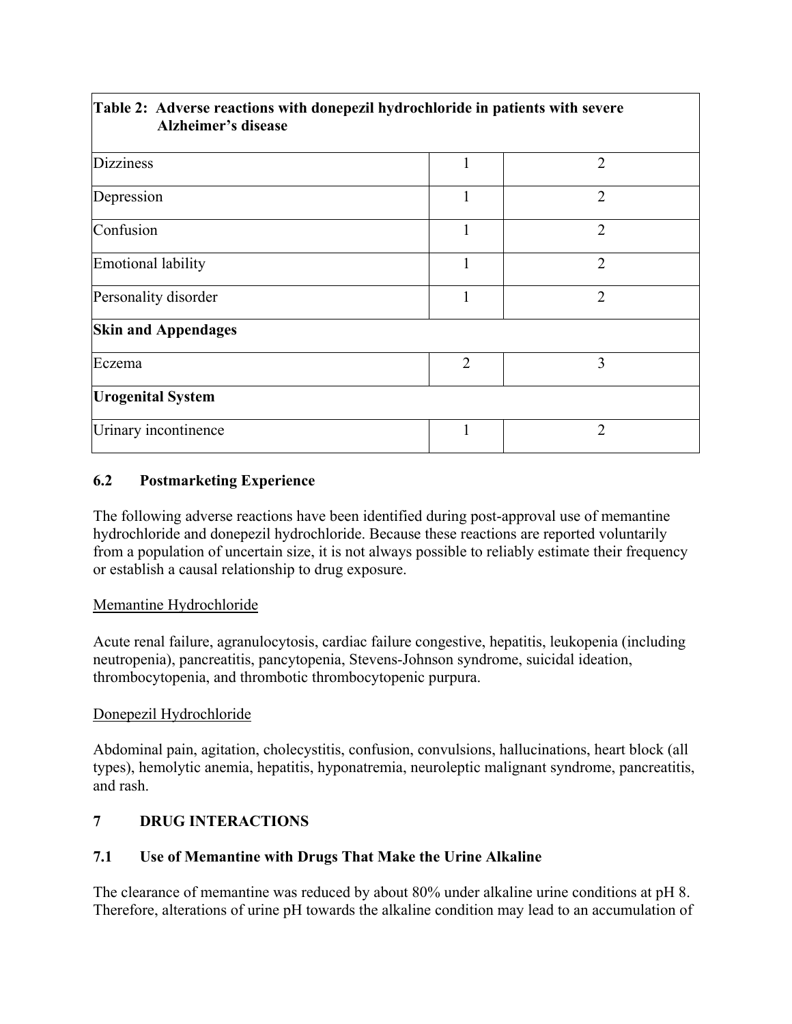| Table 2: Adverse reactions with donepezil hydrochloride in patients with severe<br><b>Alzheimer's disease</b> |                |                |
|---------------------------------------------------------------------------------------------------------------|----------------|----------------|
| <b>Dizziness</b>                                                                                              | 1              | $\overline{2}$ |
| Depression                                                                                                    | 1              | $\overline{2}$ |
| Confusion                                                                                                     | 1              | $\overline{2}$ |
| Emotional lability                                                                                            | 1              | $\overline{2}$ |
| Personality disorder                                                                                          | 1              | $\overline{2}$ |
| <b>Skin and Appendages</b>                                                                                    |                |                |
| Eczema                                                                                                        | $\overline{2}$ | 3              |
| <b>Urogenital System</b>                                                                                      |                |                |
| Urinary incontinence                                                                                          | 1              | $\overline{2}$ |

## **6.2 Postmarketing Experience**

The following adverse reactions have been identified during post-approval use of memantine hydrochloride and donepezil hydrochloride. Because these reactions are reported voluntarily from a population of uncertain size, it is not always possible to reliably estimate their frequency or establish a causal relationship to drug exposure.

## Memantine Hydrochloride

Acute renal failure, agranulocytosis, cardiac failure congestive, hepatitis, leukopenia (including neutropenia), pancreatitis, pancytopenia, Stevens-Johnson syndrome, suicidal ideation, thrombocytopenia, and thrombotic thrombocytopenic purpura.

## Donepezil Hydrochloride

Abdominal pain, agitation, cholecystitis, confusion, convulsions, hallucinations, heart block (all types), hemolytic anemia, hepatitis, hyponatremia, neuroleptic malignant syndrome, pancreatitis, and rash.

## **7 DRUG INTERACTIONS**

## **7.1 Use of Memantine with Drugs That Make the Urine Alkaline**

The clearance of memantine was reduced by about 80% under alkaline urine conditions at pH 8. Therefore, alterations of urine pH towards the alkaline condition may lead to an accumulation of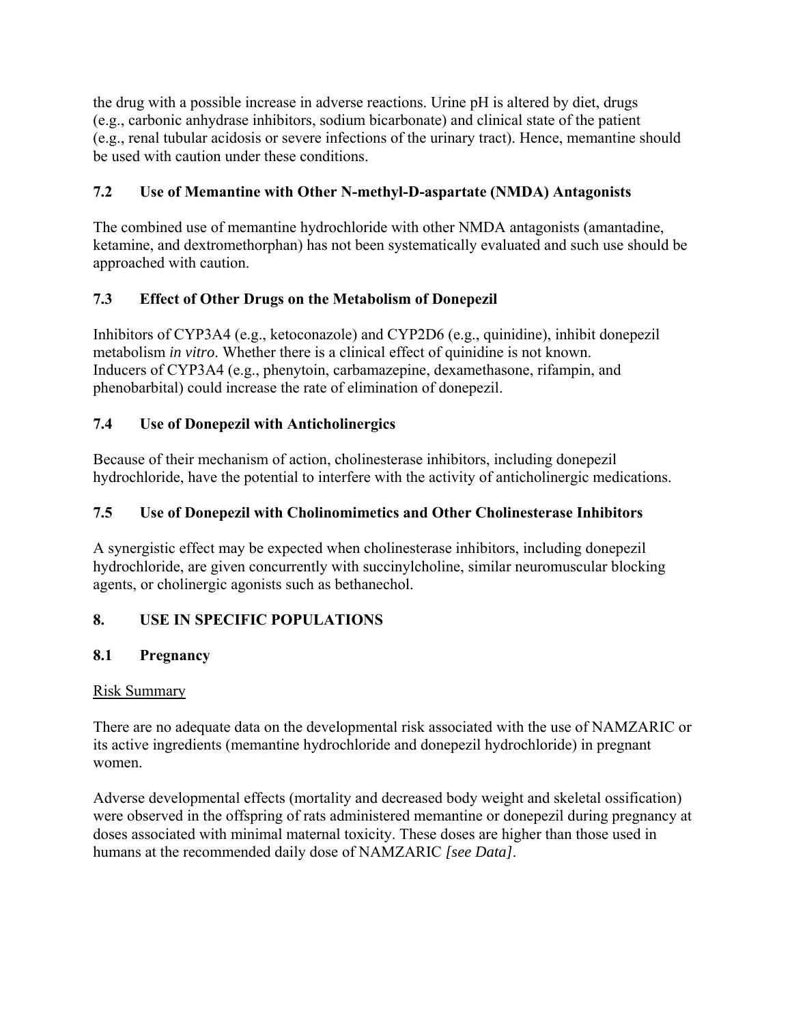the drug with a possible increase in adverse reactions. Urine pH is altered by diet, drugs (e.g., carbonic anhydrase inhibitors, sodium bicarbonate) and clinical state of the patient (e.g., renal tubular acidosis or severe infections of the urinary tract). Hence, memantine should be used with caution under these conditions.

# **7.2 Use of Memantine with Other N-methyl-D-aspartate (NMDA) Antagonists**

The combined use of memantine hydrochloride with other NMDA antagonists (amantadine, ketamine, and dextromethorphan) has not been systematically evaluated and such use should be approached with caution.

# **7.3 Effect of Other Drugs on the Metabolism of Donepezil**

Inhibitors of CYP3A4 (e.g., ketoconazole) and CYP2D6 (e.g., quinidine), inhibit donepezil metabolism *in vitro*. Whether there is a clinical effect of quinidine is not known. Inducers of CYP3A4 (e.g., phenytoin, carbamazepine, dexamethasone, rifampin, and phenobarbital) could increase the rate of elimination of donepezil.

## **7.4 Use of Donepezil with Anticholinergics**

Because of their mechanism of action, cholinesterase inhibitors, including donepezil hydrochloride, have the potential to interfere with the activity of anticholinergic medications.

# **7.5 Use of Donepezil with Cholinomimetics and Other Cholinesterase Inhibitors**

A synergistic effect may be expected when cholinesterase inhibitors, including donepezil hydrochloride, are given concurrently with succinylcholine, similar neuromuscular blocking agents, or cholinergic agonists such as bethanechol.

# **8. USE IN SPECIFIC POPULATIONS**

## **8.1 Pregnancy**

## Risk Summary

There are no adequate data on the developmental risk associated with the use of NAMZARIC or its active ingredients (memantine hydrochloride and donepezil hydrochloride) in pregnant women.

Adverse developmental effects (mortality and decreased body weight and skeletal ossification) were observed in the offspring of rats administered memantine or donepezil during pregnancy at doses associated with minimal maternal toxicity. These doses are higher than those used in humans at the recommended daily dose of NAMZARIC *[see Data]*.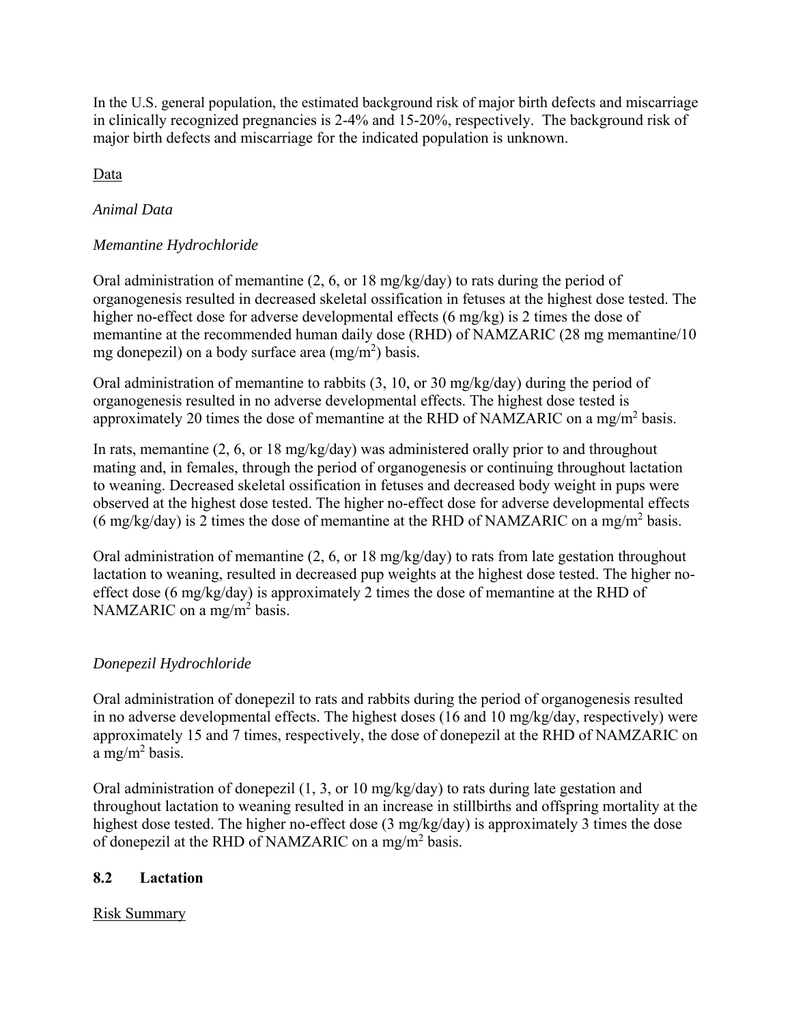In the U.S. general population, the estimated background risk of major birth defects and miscarriage in clinically recognized pregnancies is 2-4% and 15-20%, respectively. The background risk of major birth defects and miscarriage for the indicated population is unknown.

Data

## *Animal Data*

## *Memantine Hydrochloride*

Oral administration of memantine  $(2, 6, \text{or } 18 \text{ mg/kg/day})$  to rats during the period of organogenesis resulted in decreased skeletal ossification in fetuses at the highest dose tested. The higher no-effect dose for adverse developmental effects (6 mg/kg) is 2 times the dose of memantine at the recommended human daily dose (RHD) of NAMZARIC (28 mg memantine/10 mg donepezil) on a body surface area  $(mg/m<sup>2</sup>)$  basis.

Oral administration of memantine to rabbits (3, 10, or 30 mg/kg/day) during the period of organogenesis resulted in no adverse developmental effects. The highest dose tested is approximately 20 times the dose of memantine at the RHD of NAMZARIC on a mg/m<sup>2</sup> basis.

In rats, memantine (2, 6, or 18 mg/kg/day) was administered orally prior to and throughout mating and, in females, through the period of organogenesis or continuing throughout lactation to weaning. Decreased skeletal ossification in fetuses and decreased body weight in pups were observed at the highest dose tested. The higher no-effect dose for adverse developmental effects (6 mg/kg/day) is 2 times the dose of memantine at the RHD of NAMZARIC on a mg/m<sup>2</sup> basis.

Oral administration of memantine (2, 6, or 18 mg/kg/day) to rats from late gestation throughout lactation to weaning, resulted in decreased pup weights at the highest dose tested. The higher noeffect dose (6 mg/kg/day) is approximately 2 times the dose of memantine at the RHD of NAMZARIC on a mg/m<sup>2</sup> basis.

## *Donepezil Hydrochloride*

Oral administration of donepezil to rats and rabbits during the period of organogenesis resulted in no adverse developmental effects. The highest doses (16 and 10 mg/kg/day, respectively) were approximately 15 and 7 times, respectively, the dose of donepezil at the RHD of NAMZARIC on a mg/m<sup>2</sup> basis.

Oral administration of donepezil (1, 3, or 10 mg/kg/day) to rats during late gestation and throughout lactation to weaning resulted in an increase in stillbirths and offspring mortality at the highest dose tested. The higher no-effect dose (3 mg/kg/day) is approximately 3 times the dose of done pezil at the RHD of NAMZARIC on a mg/m<sup>2</sup> basis.

## **8.2 Lactation**

## Risk Summary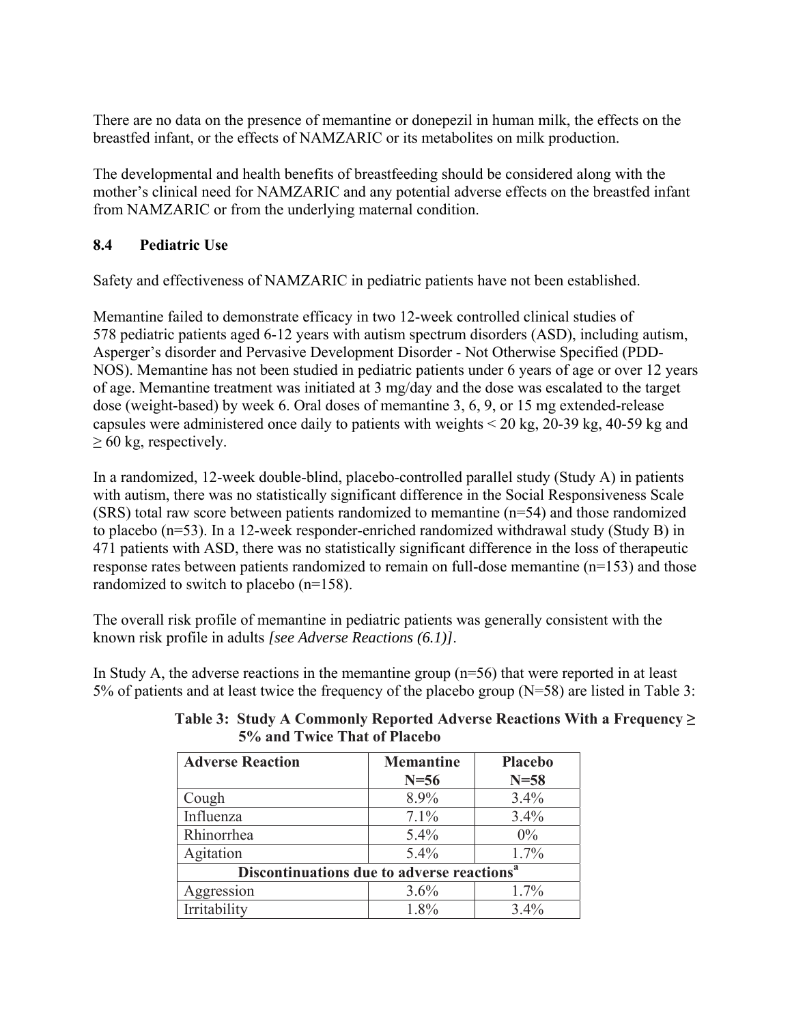There are no data on the presence of memantine or donepezil in human milk, the effects on the breastfed infant, or the effects of NAMZARIC or its metabolites on milk production.

The developmental and health benefits of breastfeeding should be considered along with the mother's clinical need for NAMZARIC and any potential adverse effects on the breastfed infant from NAMZARIC or from the underlying maternal condition.

## **8.4 Pediatric Use**

Safety and effectiveness of NAMZARIC in pediatric patients have not been established.

Memantine failed to demonstrate efficacy in two 12-week controlled clinical studies of 578 pediatric patients aged 6-12 years with autism spectrum disorders (ASD), including autism, Asperger's disorder and Pervasive Development Disorder - Not Otherwise Specified (PDD-NOS). Memantine has not been studied in pediatric patients under 6 years of age or over 12 years of age. Memantine treatment was initiated at 3 mg/day and the dose was escalated to the target dose (weight-based) by week 6. Oral doses of memantine 3, 6, 9, or 15 mg extended-release capsules were administered once daily to patients with weights < 20 kg, 20-39 kg, 40-59 kg and  $\geq 60$  kg, respectively.

In a randomized, 12-week double-blind, placebo-controlled parallel study (Study A) in patients with autism, there was no statistically significant difference in the Social Responsiveness Scale (SRS) total raw score between patients randomized to memantine (n=54) and those randomized to placebo (n=53). In a 12-week responder-enriched randomized withdrawal study (Study B) in 471 patients with ASD, there was no statistically significant difference in the loss of therapeutic response rates between patients randomized to remain on full-dose memantine (n=153) and those randomized to switch to placebo (n=158).

The overall risk profile of memantine in pediatric patients was generally consistent with the known risk profile in adults *[see Adverse Reactions (6.1)]*.

In Study A, the adverse reactions in the memantine group  $(n=56)$  that were reported in at least 5% of patients and at least twice the frequency of the placebo group (N=58) are listed in Table 3:

| <b>Adverse Reaction</b>                                | <b>Memantine</b><br>$N=56$ | <b>Placebo</b><br>$N=58$ |
|--------------------------------------------------------|----------------------------|--------------------------|
| Cough                                                  | 8.9%                       | 3.4%                     |
| Influenza                                              | 7.1%                       | 3.4%                     |
| Rhinorrhea                                             | 5.4%                       | $0\%$                    |
| Agitation                                              | 5.4%                       | $1.7\%$                  |
| Discontinuations due to adverse reactions <sup>a</sup> |                            |                          |
| Aggression                                             | 3.6%                       | 1.7%                     |
| Irritability                                           | 1.8%                       | 3.4%                     |

| Table 3: Study A Commonly Reported Adverse Reactions With a Frequency $\geq$ |
|------------------------------------------------------------------------------|
| 5% and Twice That of Placebo                                                 |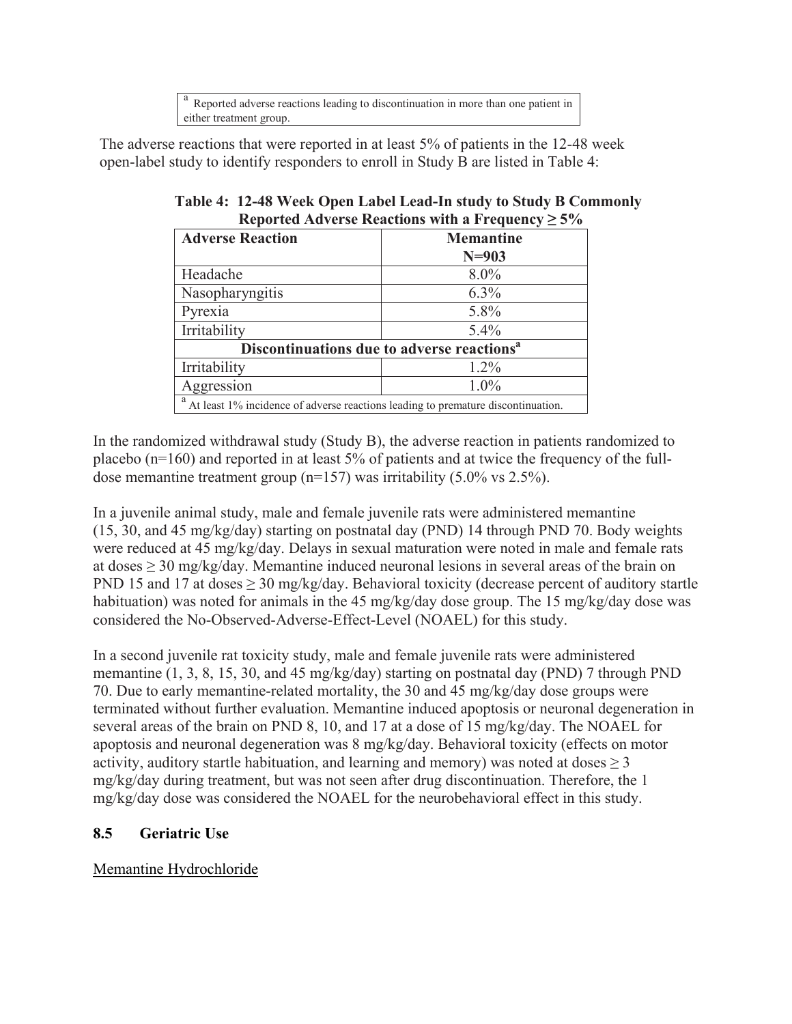a Reported adverse reactions leading to discontinuation in more than one patient in either treatment group.

The adverse reactions that were reported in at least 5% of patients in the 12-48 week open-label study to identify responders to enroll in Study B are listed in Table 4:

| $1.44$ , $2.54$ , $2.54$ , $2.54$ , $2.54$ , $2.54$ , $3.54$ , $3.54$ , $3.54$ , $3.54$ |                  |  |
|-----------------------------------------------------------------------------------------|------------------|--|
| <b>Adverse Reaction</b>                                                                 | <b>Memantine</b> |  |
|                                                                                         | $N=903$          |  |
| Headache                                                                                | 8.0%             |  |
| Nasopharyngitis                                                                         | $6.3\%$          |  |
| Pyrexia                                                                                 | 5.8%             |  |
| Irritability                                                                            | $5.4\%$          |  |
| Discontinuations due to adverse reactions <sup>a</sup>                                  |                  |  |
| Irritability                                                                            | $1.2\%$          |  |
| Aggression                                                                              | 1.0%             |  |
| At least 1% incidence of adverse reactions leading to premature discontinuation.        |                  |  |

**Table 4: 12-48 Week Open Label Lead-In study to Study B Commonly Reported Adverse Reactions with a Frequency ≥ 5%** 

In the randomized withdrawal study (Study B), the adverse reaction in patients randomized to placebo (n=160) and reported in at least 5% of patients and at twice the frequency of the fulldose memantine treatment group (n=157) was irritability (5.0% vs 2.5%).

In a juvenile animal study, male and female juvenile rats were administered memantine (15, 30, and 45 mg/kg/day) starting on postnatal day (PND) 14 through PND 70. Body weights were reduced at 45 mg/kg/day. Delays in sexual maturation were noted in male and female rats at doses  $\geq$  30 mg/kg/day. Memantine induced neuronal lesions in several areas of the brain on PND 15 and 17 at doses ≥ 30 mg/kg/day. Behavioral toxicity (decrease percent of auditory startle habituation) was noted for animals in the 45 mg/kg/day dose group. The 15 mg/kg/day dose was considered the No-Observed-Adverse-Effect-Level (NOAEL) for this study.

In a second juvenile rat toxicity study, male and female juvenile rats were administered memantine (1, 3, 8, 15, 30, and 45 mg/kg/day) starting on postnatal day (PND) 7 through PND 70. Due to early memantine-related mortality, the 30 and 45 mg/kg/day dose groups were terminated without further evaluation. Memantine induced apoptosis or neuronal degeneration in several areas of the brain on PND 8, 10, and 17 at a dose of 15 mg/kg/day. The NOAEL for apoptosis and neuronal degeneration was 8 mg/kg/day. Behavioral toxicity (effects on motor activity, auditory startle habituation, and learning and memory) was noted at doses  $> 3$ mg/kg/day during treatment, but was not seen after drug discontinuation. Therefore, the 1 mg/kg/day dose was considered the NOAEL for the neurobehavioral effect in this study.

# **8.5 Geriatric Use**

Memantine Hydrochloride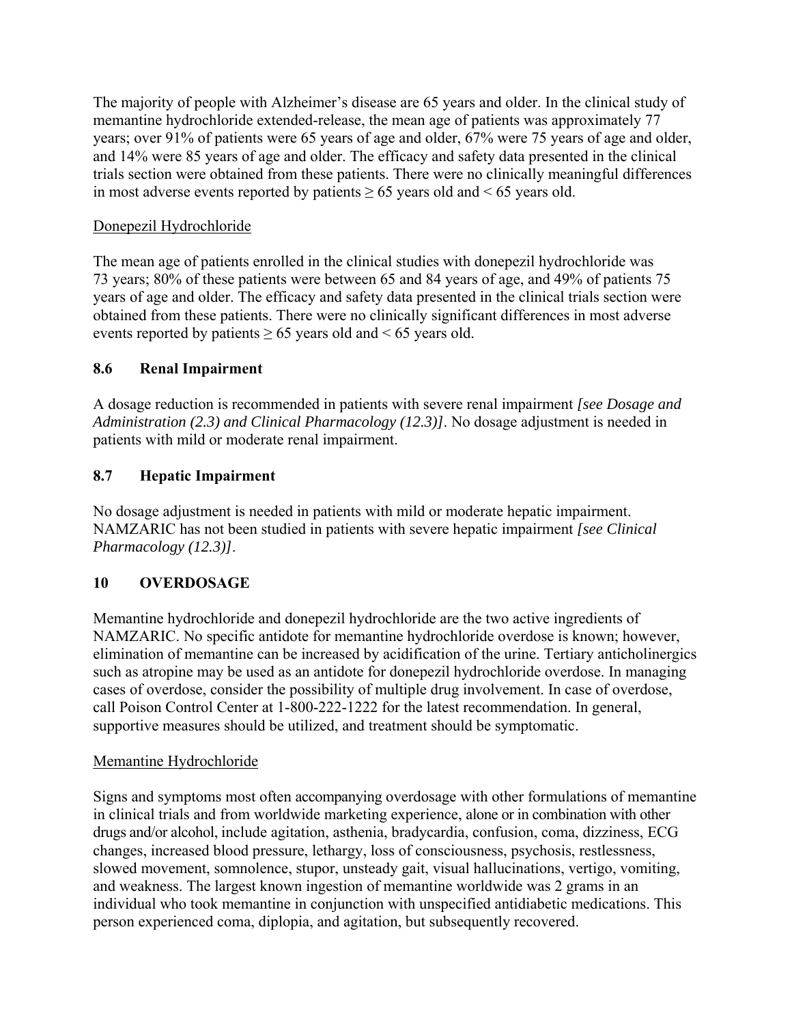The majority of people with Alzheimer's disease are 65 years and older. In the clinical study of memantine hydrochloride extended-release, the mean age of patients was approximately 77 years; over 91% of patients were 65 years of age and older, 67% were 75 years of age and older, and 14% were 85 years of age and older. The efficacy and safety data presented in the clinical trials section were obtained from these patients. There were no clinically meaningful differences in most adverse events reported by patients  $\geq 65$  years old and  $\leq 65$  years old.

## Donepezil Hydrochloride

The mean age of patients enrolled in the clinical studies with donepezil hydrochloride was 73 years; 80% of these patients were between 65 and 84 years of age, and 49% of patients 75 years of age and older. The efficacy and safety data presented in the clinical trials section were obtained from these patients. There were no clinically significant differences in most adverse events reported by patients  $\geq 65$  years old and  $\leq 65$  years old.

## **8.6 Renal Impairment**

A dosage reduction is recommended in patients with severe renal impairment *[see Dosage and Administration (2.3) and Clinical Pharmacology (12.3)]*. No dosage adjustment is needed in patients with mild or moderate renal impairment.

## **8.7 Hepatic Impairment**

No dosage adjustment is needed in patients with mild or moderate hepatic impairment. NAMZARIC has not been studied in patients with severe hepatic impairment *[see Clinical Pharmacology (12.3)]*.

## **10 OVERDOSAGE**

Memantine hydrochloride and donepezil hydrochloride are the two active ingredients of NAMZARIC. No specific antidote for memantine hydrochloride overdose is known; however, elimination of memantine can be increased by acidification of the urine. Tertiary anticholinergics such as atropine may be used as an antidote for donepezil hydrochloride overdose. In managing cases of overdose, consider the possibility of multiple drug involvement. In case of overdose, call Poison Control Center at 1-800-222-1222 for the latest recommendation. In general, supportive measures should be utilized, and treatment should be symptomatic.

## Memantine Hydrochloride

Signs and symptoms most often accompanying overdosage with other formulations of memantine in clinical trials and from worldwide marketing experience, alone or in combination with other drugs and/or alcohol, include agitation, asthenia, bradycardia, confusion, coma, dizziness, ECG changes, increased blood pressure, lethargy, loss of consciousness, psychosis, restlessness, slowed movement, somnolence, stupor, unsteady gait, visual hallucinations, vertigo, vomiting, and weakness. The largest known ingestion of memantine worldwide was 2 grams in an individual who took memantine in conjunction with unspecified antidiabetic medications. This person experienced coma, diplopia, and agitation, but subsequently recovered.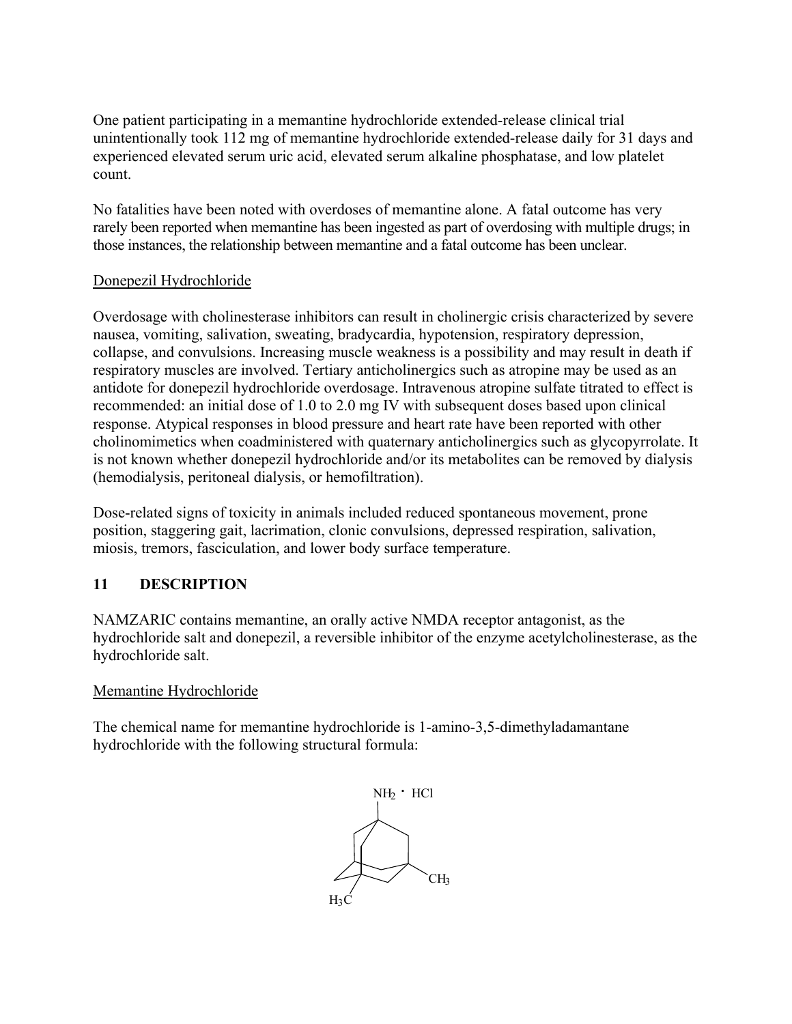One patient participating in a memantine hydrochloride extended-release clinical trial unintentionally took 112 mg of memantine hydrochloride extended-release daily for 31 days and experienced elevated serum uric acid, elevated serum alkaline phosphatase, and low platelet count.

No fatalities have been noted with overdoses of memantine alone. A fatal outcome has very rarely been reported when memantine has been ingested as part of overdosing with multiple drugs; in those instances, the relationship between memantine and a fatal outcome has been unclear.

## Donepezil Hydrochloride

Overdosage with cholinesterase inhibitors can result in cholinergic crisis characterized by severe nausea, vomiting, salivation, sweating, bradycardia, hypotension, respiratory depression, collapse, and convulsions. Increasing muscle weakness is a possibility and may result in death if respiratory muscles are involved. Tertiary anticholinergics such as atropine may be used as an antidote for donepezil hydrochloride overdosage. Intravenous atropine sulfate titrated to effect is recommended: an initial dose of 1.0 to 2.0 mg IV with subsequent doses based upon clinical response. Atypical responses in blood pressure and heart rate have been reported with other cholinomimetics when coadministered with quaternary anticholinergics such as glycopyrrolate. It is not known whether donepezil hydrochloride and/or its metabolites can be removed by dialysis (hemodialysis, peritoneal dialysis, or hemofiltration).

Dose-related signs of toxicity in animals included reduced spontaneous movement, prone position, staggering gait, lacrimation, clonic convulsions, depressed respiration, salivation, miosis, tremors, fasciculation, and lower body surface temperature.

## **11 DESCRIPTION**

NAMZARIC contains memantine, an orally active NMDA receptor antagonist, as the hydrochloride salt and donepezil, a reversible inhibitor of the enzyme acetylcholinesterase, as the hydrochloride salt.

## Memantine Hydrochloride

The chemical name for memantine hydrochloride is 1-amino-3,5-dimethyladamantane hydrochloride with the following structural formula:

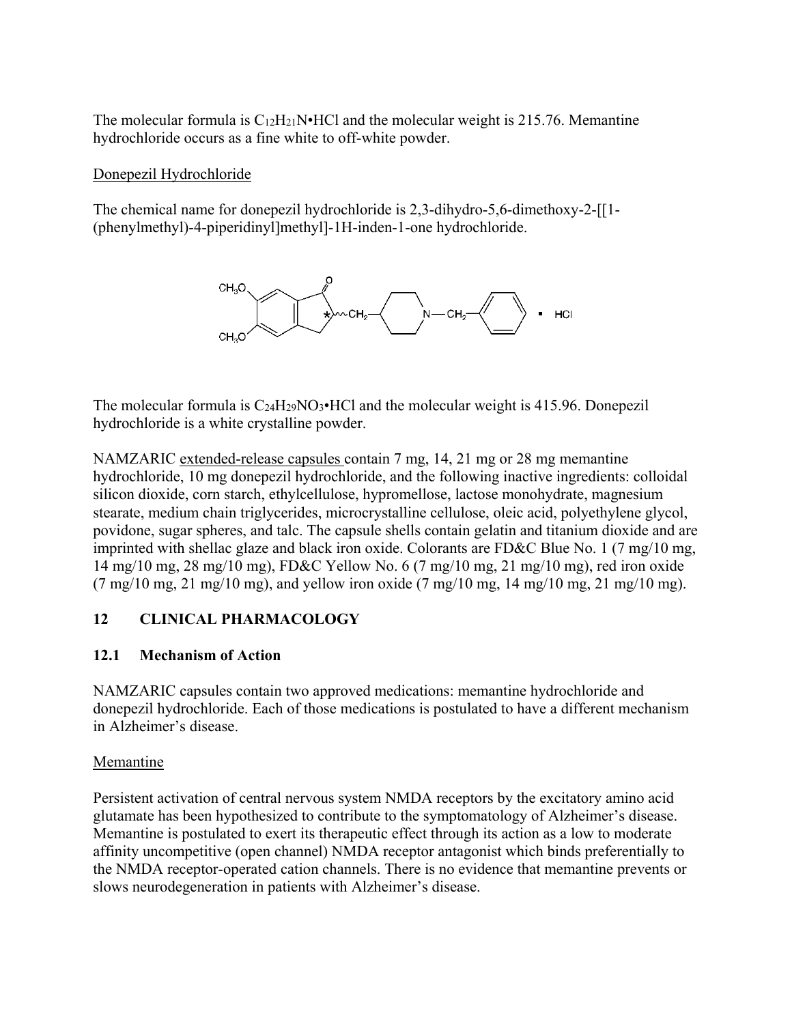The molecular formula is  $C_{12}H_{21}N \cdot HCl$  and the molecular weight is 215.76. Memantine hydrochloride occurs as a fine white to off-white powder.

## Donepezil Hydrochloride

The chemical name for donepezil hydrochloride is 2,3-dihydro-5,6-dimethoxy-2-[[1- (phenylmethyl)-4-piperidinyl]methyl]-1H-inden-1-one hydrochloride.



The molecular formula is  $C_2$ <sup>4H<sub>29</sub>NO<sub>3</sub>•HCl and the molecular weight is 415.96. Donepezil</sup> hydrochloride is a white crystalline powder.

NAMZARIC extended-release capsules contain 7 mg, 14, 21 mg or 28 mg memantine hydrochloride, 10 mg donepezil hydrochloride, and the following inactive ingredients: colloidal silicon dioxide, corn starch, ethylcellulose, hypromellose, lactose monohydrate, magnesium stearate, medium chain triglycerides, microcrystalline cellulose, oleic acid, polyethylene glycol, povidone, sugar spheres, and talc. The capsule shells contain gelatin and titanium dioxide and are imprinted with shellac glaze and black iron oxide. Colorants are FD&C Blue No. 1 (7 mg/10 mg, 14 mg/10 mg, 28 mg/10 mg), FD&C Yellow No. 6 (7 mg/10 mg, 21 mg/10 mg), red iron oxide  $(7 \text{ mg}/10 \text{ mg}, 21 \text{ mg}/10 \text{ mg})$ , and yellow iron oxide  $(7 \text{ mg}/10 \text{ mg}, 14 \text{ mg}/10 \text{ mg}, 21 \text{ mg}/10 \text{ mg})$ .

## **12 CLINICAL PHARMACOLOGY**

## **12.1 Mechanism of Action**

NAMZARIC capsules contain two approved medications: memantine hydrochloride and donepezil hydrochloride. Each of those medications is postulated to have a different mechanism in Alzheimer's disease.

## Memantine

Persistent activation of central nervous system NMDA receptors by the excitatory amino acid glutamate has been hypothesized to contribute to the symptomatology of Alzheimer's disease. Memantine is postulated to exert its therapeutic effect through its action as a low to moderate affinity uncompetitive (open channel) NMDA receptor antagonist which binds preferentially to the NMDA receptor-operated cation channels. There is no evidence that memantine prevents or slows neurodegeneration in patients with Alzheimer's disease.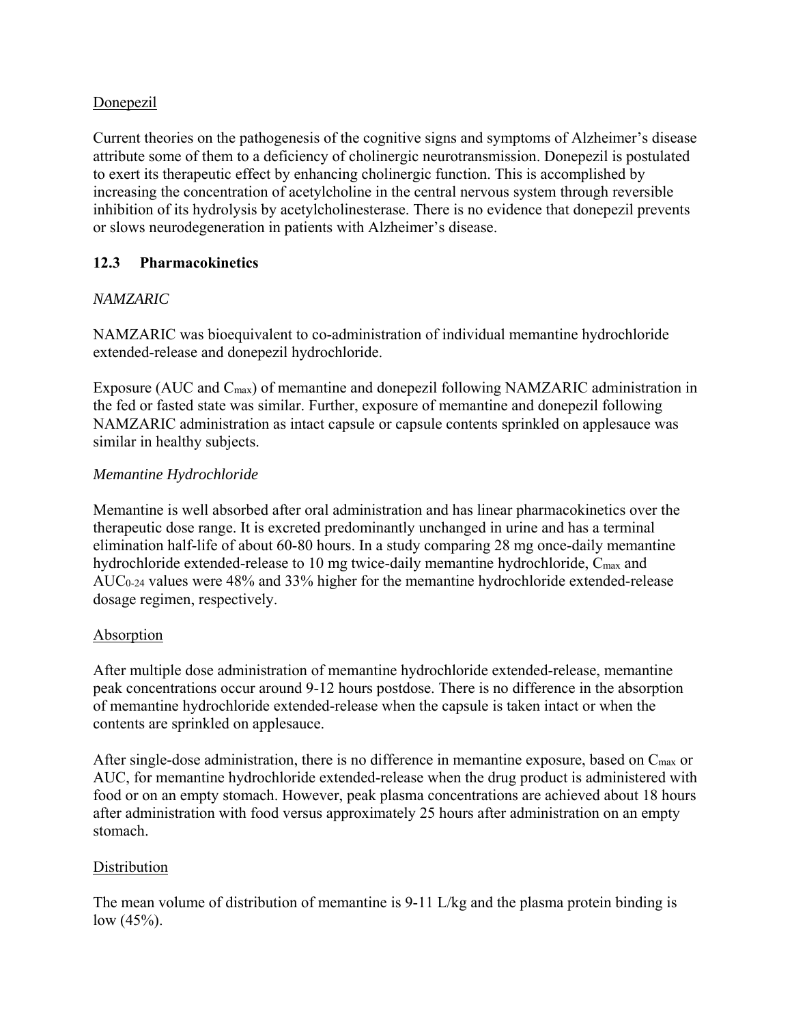## Donepezil

Current theories on the pathogenesis of the cognitive signs and symptoms of Alzheimer's disease attribute some of them to a deficiency of cholinergic neurotransmission. Donepezil is postulated to exert its therapeutic effect by enhancing cholinergic function. This is accomplished by increasing the concentration of acetylcholine in the central nervous system through reversible inhibition of its hydrolysis by acetylcholinesterase. There is no evidence that donepezil prevents or slows neurodegeneration in patients with Alzheimer's disease.

## **12.3 Pharmacokinetics**

## *NAMZARIC*

NAMZARIC was bioequivalent to co-administration of individual memantine hydrochloride extended-release and donepezil hydrochloride.

Exposure (AUC and C<sub>max</sub>) of memantine and donepezil following NAMZARIC administration in the fed or fasted state was similar. Further, exposure of memantine and donepezil following NAMZARIC administration as intact capsule or capsule contents sprinkled on applesauce was similar in healthy subjects.

## *Memantine Hydrochloride*

Memantine is well absorbed after oral administration and has linear pharmacokinetics over the therapeutic dose range. It is excreted predominantly unchanged in urine and has a terminal elimination half-life of about 60-80 hours. In a study comparing 28 mg once-daily memantine hydrochloride extended-release to 10 mg twice-daily memantine hydrochloride, C<sub>max</sub> and AUC<sub>0-24</sub> values were 48% and 33% higher for the memantine hydrochloride extended-release dosage regimen, respectively.

## Absorption

After multiple dose administration of memantine hydrochloride extended-release, memantine peak concentrations occur around 9-12 hours postdose. There is no difference in the absorption of memantine hydrochloride extended-release when the capsule is taken intact or when the contents are sprinkled on applesauce.

After single-dose administration, there is no difference in memantine exposure, based on  $C_{\text{max}}$  or AUC, for memantine hydrochloride extended-release when the drug product is administered with food or on an empty stomach. However, peak plasma concentrations are achieved about 18 hours after administration with food versus approximately 25 hours after administration on an empty stomach.

## **Distribution**

The mean volume of distribution of memantine is 9-11 L/kg and the plasma protein binding is low  $(45%).$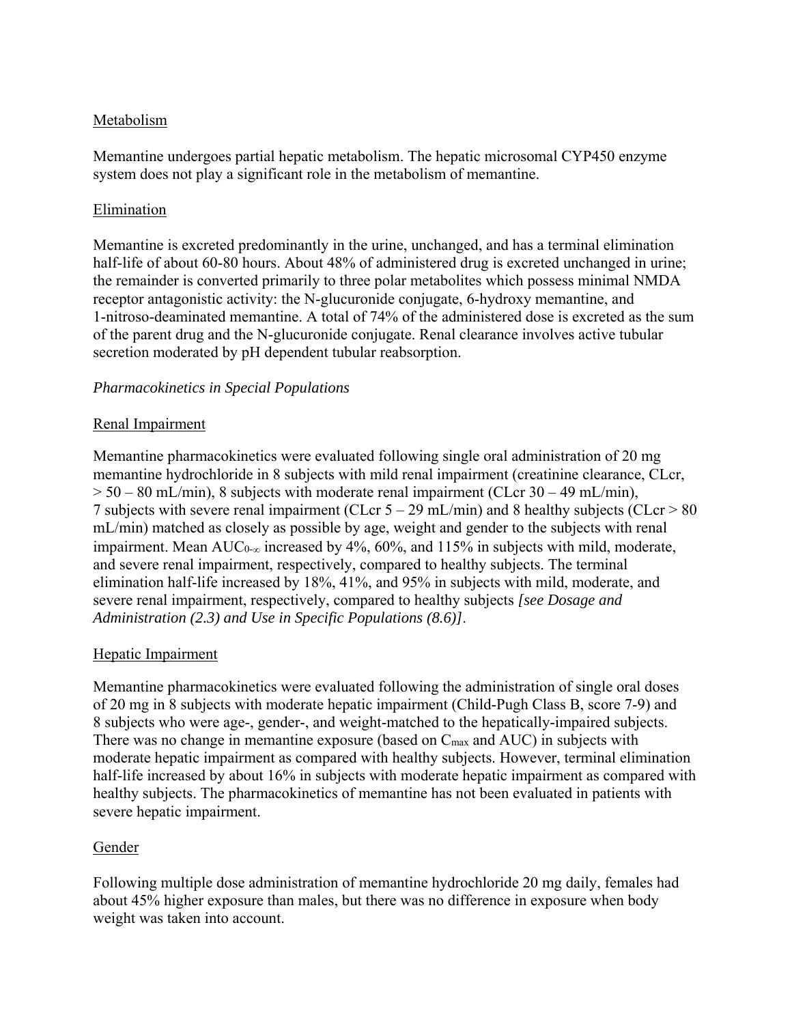## Metabolism

Memantine undergoes partial hepatic metabolism. The hepatic microsomal CYP450 enzyme system does not play a significant role in the metabolism of memantine.

## Elimination

Memantine is excreted predominantly in the urine, unchanged, and has a terminal elimination half-life of about 60-80 hours. About 48% of administered drug is excreted unchanged in urine; the remainder is converted primarily to three polar metabolites which possess minimal NMDA receptor antagonistic activity: the N-glucuronide conjugate, 6-hydroxy memantine, and 1-nitroso-deaminated memantine. A total of 74% of the administered dose is excreted as the sum of the parent drug and the N-glucuronide conjugate. Renal clearance involves active tubular secretion moderated by pH dependent tubular reabsorption.

#### *Pharmacokinetics in Special Populations*

#### Renal Impairment

Memantine pharmacokinetics were evaluated following single oral administration of 20 mg memantine hydrochloride in 8 subjects with mild renal impairment (creatinine clearance, CLcr,  $> 50 - 80$  mL/min), 8 subjects with moderate renal impairment (CLcr 30 – 49 mL/min), 7 subjects with severe renal impairment (CLcr 5 – 29 mL/min) and 8 healthy subjects (CLcr > 80 mL/min) matched as closely as possible by age, weight and gender to the subjects with renal impairment. Mean AUC<sub>0- $\infty$ </sub> increased by 4%, 60%, and 115% in subjects with mild, moderate, and severe renal impairment, respectively, compared to healthy subjects. The terminal elimination half-life increased by 18%, 41%, and 95% in subjects with mild, moderate, and severe renal impairment, respectively, compared to healthy subjects *[see Dosage and Administration (2.3) and Use in Specific Populations (8.6)]*.

#### Hepatic Impairment

Memantine pharmacokinetics were evaluated following the administration of single oral doses of 20 mg in 8 subjects with moderate hepatic impairment (Child-Pugh Class B, score 7-9) and 8 subjects who were age-, gender-, and weight-matched to the hepatically-impaired subjects. There was no change in memantine exposure (based on Cmax and AUC) in subjects with moderate hepatic impairment as compared with healthy subjects. However, terminal elimination half-life increased by about 16% in subjects with moderate hepatic impairment as compared with healthy subjects. The pharmacokinetics of memantine has not been evaluated in patients with severe hepatic impairment.

## Gender

Following multiple dose administration of memantine hydrochloride 20 mg daily, females had about 45% higher exposure than males, but there was no difference in exposure when body weight was taken into account.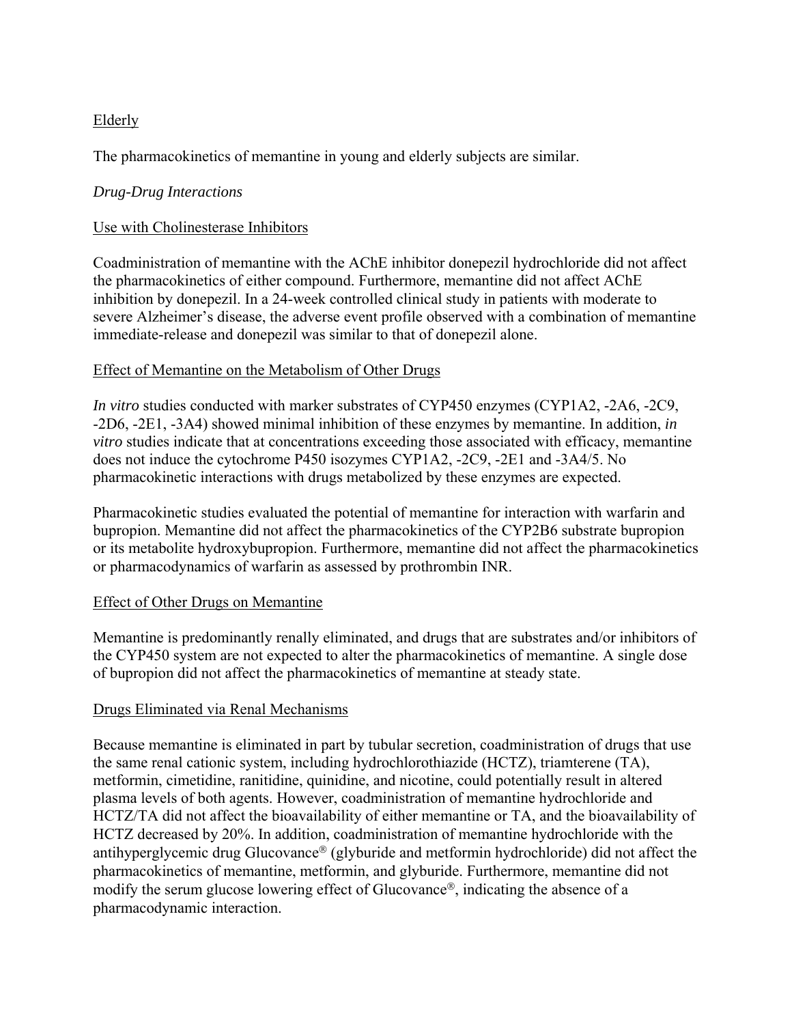## Elderly

The pharmacokinetics of memantine in young and elderly subjects are similar.

## *Drug-Drug Interactions*

## Use with Cholinesterase Inhibitors

Coadministration of memantine with the AChE inhibitor donepezil hydrochloride did not affect the pharmacokinetics of either compound. Furthermore, memantine did not affect AChE inhibition by donepezil. In a 24-week controlled clinical study in patients with moderate to severe Alzheimer's disease, the adverse event profile observed with a combination of memantine immediate-release and donepezil was similar to that of donepezil alone.

## Effect of Memantine on the Metabolism of Other Drugs

*In vitro* studies conducted with marker substrates of CYP450 enzymes (CYP1A2, -2A6, -2C9, -2D6, -2E1, -3A4) showed minimal inhibition of these enzymes by memantine. In addition, *in vitro* studies indicate that at concentrations exceeding those associated with efficacy, memantine does not induce the cytochrome P450 isozymes CYP1A2, -2C9, -2E1 and -3A4/5. No pharmacokinetic interactions with drugs metabolized by these enzymes are expected.

Pharmacokinetic studies evaluated the potential of memantine for interaction with warfarin and bupropion. Memantine did not affect the pharmacokinetics of the CYP2B6 substrate bupropion or its metabolite hydroxybupropion. Furthermore, memantine did not affect the pharmacokinetics or pharmacodynamics of warfarin as assessed by prothrombin INR.

## Effect of Other Drugs on Memantine

Memantine is predominantly renally eliminated, and drugs that are substrates and/or inhibitors of the CYP450 system are not expected to alter the pharmacokinetics of memantine. A single dose of bupropion did not affect the pharmacokinetics of memantine at steady state.

## Drugs Eliminated via Renal Mechanisms

Because memantine is eliminated in part by tubular secretion, coadministration of drugs that use the same renal cationic system, including hydrochlorothiazide (HCTZ), triamterene (TA), metformin, cimetidine, ranitidine, quinidine, and nicotine, could potentially result in altered plasma levels of both agents. However, coadministration of memantine hydrochloride and HCTZ/TA did not affect the bioavailability of either memantine or TA, and the bioavailability of HCTZ decreased by 20%. In addition, coadministration of memantine hydrochloride with the antihyperglycemic drug Glucovance<sup>®</sup> (glyburide and metformin hydrochloride) did not affect the pharmacokinetics of memantine, metformin, and glyburide. Furthermore, memantine did not modify the serum glucose lowering effect of Glucovance<sup>®</sup>, indicating the absence of a pharmacodynamic interaction.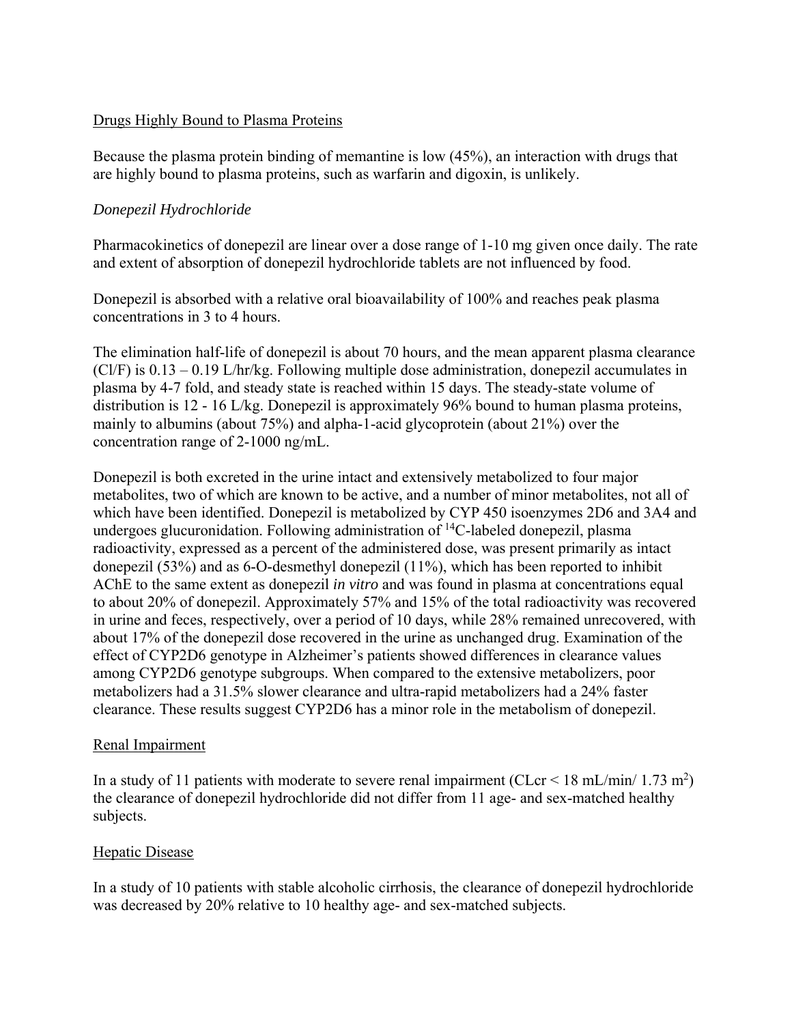#### Drugs Highly Bound to Plasma Proteins

Because the plasma protein binding of memantine is low (45%), an interaction with drugs that are highly bound to plasma proteins, such as warfarin and digoxin, is unlikely.

## *Donepezil Hydrochloride*

Pharmacokinetics of donepezil are linear over a dose range of 1-10 mg given once daily. The rate and extent of absorption of donepezil hydrochloride tablets are not influenced by food.

Donepezil is absorbed with a relative oral bioavailability of 100% and reaches peak plasma concentrations in 3 to 4 hours.

The elimination half-life of donepezil is about 70 hours, and the mean apparent plasma clearance (Cl/F) is 0.13 – 0.19 L/hr/kg. Following multiple dose administration, donepezil accumulates in plasma by 4-7 fold, and steady state is reached within 15 days. The steady-state volume of distribution is 12 - 16 L/kg. Donepezil is approximately 96% bound to human plasma proteins, mainly to albumins (about 75%) and alpha-1-acid glycoprotein (about 21%) over the concentration range of 2-1000 ng/mL.

Donepezil is both excreted in the urine intact and extensively metabolized to four major metabolites, two of which are known to be active, and a number of minor metabolites, not all of which have been identified. Donepezil is metabolized by CYP 450 isoenzymes 2D6 and 3A4 and undergoes glucuronidation. Following administration of  ${}^{14}C$ -labeled donepezil, plasma radioactivity, expressed as a percent of the administered dose, was present primarily as intact donepezil (53%) and as 6-O-desmethyl donepezil (11%), which has been reported to inhibit AChE to the same extent as donepezil *in vitro* and was found in plasma at concentrations equal to about 20% of donepezil. Approximately 57% and 15% of the total radioactivity was recovered in urine and feces, respectively, over a period of 10 days, while 28% remained unrecovered, with about 17% of the donepezil dose recovered in the urine as unchanged drug. Examination of the effect of CYP2D6 genotype in Alzheimer's patients showed differences in clearance values among CYP2D6 genotype subgroups. When compared to the extensive metabolizers, poor metabolizers had a 31.5% slower clearance and ultra-rapid metabolizers had a 24% faster clearance. These results suggest CYP2D6 has a minor role in the metabolism of donepezil.

## Renal Impairment

In a study of 11 patients with moderate to severe renal impairment (CLcr < 18 mL/min/ 1.73 m<sup>2</sup>) the clearance of donepezil hydrochloride did not differ from 11 age- and sex-matched healthy subjects.

## Hepatic Disease

In a study of 10 patients with stable alcoholic cirrhosis, the clearance of donepezil hydrochloride was decreased by 20% relative to 10 healthy age- and sex-matched subjects.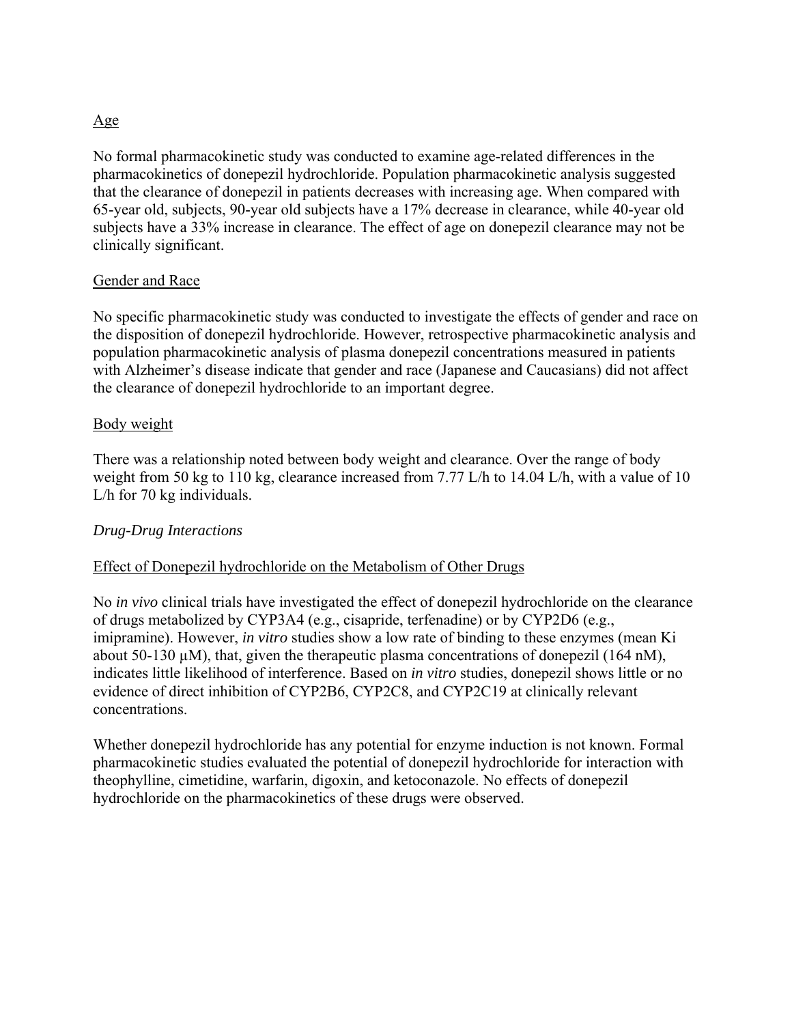#### Age

No formal pharmacokinetic study was conducted to examine age-related differences in the pharmacokinetics of donepezil hydrochloride. Population pharmacokinetic analysis suggested that the clearance of donepezil in patients decreases with increasing age. When compared with 65-year old, subjects, 90-year old subjects have a 17% decrease in clearance, while 40-year old subjects have a 33% increase in clearance. The effect of age on donepezil clearance may not be clinically significant.

#### Gender and Race

No specific pharmacokinetic study was conducted to investigate the effects of gender and race on the disposition of donepezil hydrochloride. However, retrospective pharmacokinetic analysis and population pharmacokinetic analysis of plasma donepezil concentrations measured in patients with Alzheimer's disease indicate that gender and race (Japanese and Caucasians) did not affect the clearance of donepezil hydrochloride to an important degree.

#### Body weight

There was a relationship noted between body weight and clearance. Over the range of body weight from 50 kg to 110 kg, clearance increased from 7.77 L/h to 14.04 L/h, with a value of 10 L/h for 70 kg individuals.

#### *Drug-Drug Interactions*

## Effect of Donepezil hydrochloride on the Metabolism of Other Drugs

No *in vivo* clinical trials have investigated the effect of donepezil hydrochloride on the clearance of drugs metabolized by CYP3A4 (e.g., cisapride, terfenadine) or by CYP2D6 (e.g., imipramine). However, *in vitro* studies show a low rate of binding to these enzymes (mean Ki about 50-130 µM), that, given the therapeutic plasma concentrations of donepezil (164 nM), indicates little likelihood of interference. Based on *in vitro* studies, donepezil shows little or no evidence of direct inhibition of CYP2B6, CYP2C8, and CYP2C19 at clinically relevant concentrations.

Whether donepezil hydrochloride has any potential for enzyme induction is not known. Formal pharmacokinetic studies evaluated the potential of donepezil hydrochloride for interaction with theophylline, cimetidine, warfarin, digoxin, and ketoconazole. No effects of donepezil hydrochloride on the pharmacokinetics of these drugs were observed.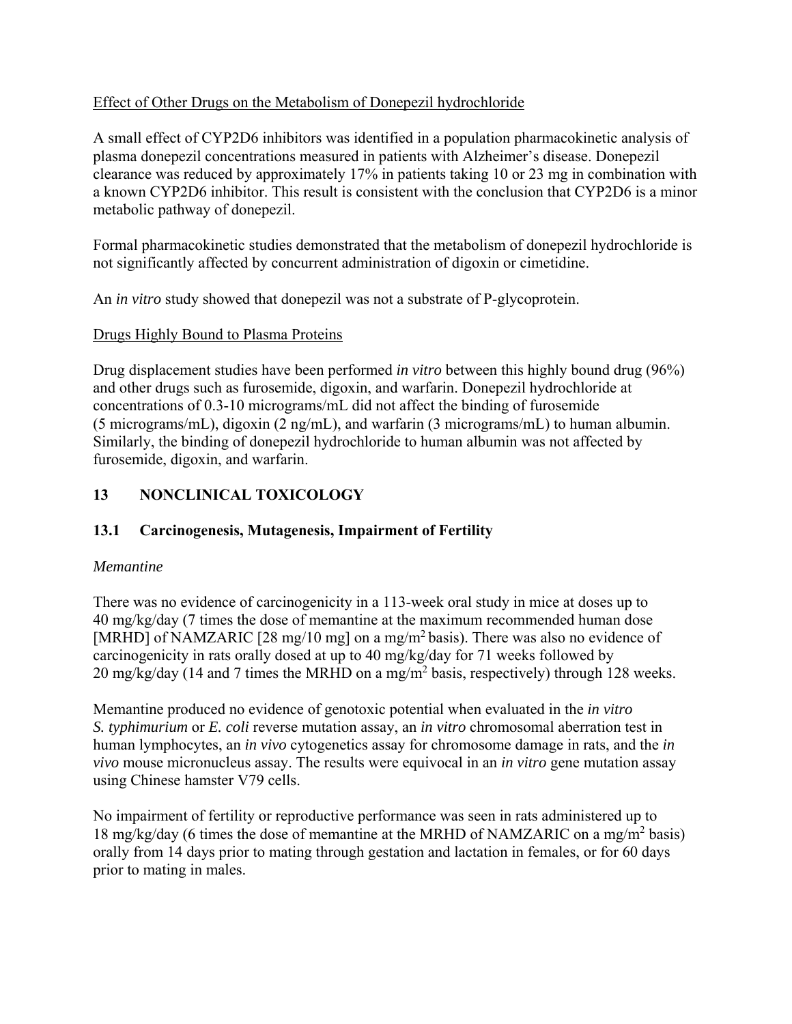## Effect of Other Drugs on the Metabolism of Donepezil hydrochloride

A small effect of CYP2D6 inhibitors was identified in a population pharmacokinetic analysis of plasma donepezil concentrations measured in patients with Alzheimer's disease. Donepezil clearance was reduced by approximately 17% in patients taking 10 or 23 mg in combination with a known CYP2D6 inhibitor. This result is consistent with the conclusion that CYP2D6 is a minor metabolic pathway of donepezil.

Formal pharmacokinetic studies demonstrated that the metabolism of donepezil hydrochloride is not significantly affected by concurrent administration of digoxin or cimetidine.

An *in vitro* study showed that donepezil was not a substrate of P-glycoprotein.

## Drugs Highly Bound to Plasma Proteins

Drug displacement studies have been performed *in vitro* between this highly bound drug (96%) and other drugs such as furosemide, digoxin, and warfarin. Donepezil hydrochloride at concentrations of 0.3-10 micrograms/mL did not affect the binding of furosemide (5 micrograms/mL), digoxin (2 ng/mL), and warfarin (3 micrograms/mL) to human albumin. Similarly, the binding of donepezil hydrochloride to human albumin was not affected by furosemide, digoxin, and warfarin.

# **13 NONCLINICAL TOXICOLOGY**

## **13.1 Carcinogenesis, Mutagenesis, Impairment of Fertility**

## *Memantine*

There was no evidence of carcinogenicity in a 113-week oral study in mice at doses up to 40 mg/kg/day (7 times the dose of memantine at the maximum recommended human dose [MRHD] of NAMZARIC [28 mg/10 mg] on a mg/m<sup>2</sup> basis). There was also no evidence of carcinogenicity in rats orally dosed at up to 40 mg/kg/day for 71 weeks followed by 20 mg/kg/day (14 and 7 times the MRHD on a mg/m<sup>2</sup> basis, respectively) through 128 weeks.

Memantine produced no evidence of genotoxic potential when evaluated in the *in vitro S. typhimurium* or *E. coli* reverse mutation assay, an *in vitro* chromosomal aberration test in human lymphocytes, an *in vivo* cytogenetics assay for chromosome damage in rats, and the *in vivo* mouse micronucleus assay. The results were equivocal in an *in vitro* gene mutation assay using Chinese hamster V79 cells.

No impairment of fertility or reproductive performance was seen in rats administered up to 18 mg/kg/day (6 times the dose of memantine at the MRHD of NAMZARIC on a mg/m<sup>2</sup> basis) orally from 14 days prior to mating through gestation and lactation in females, or for 60 days prior to mating in males.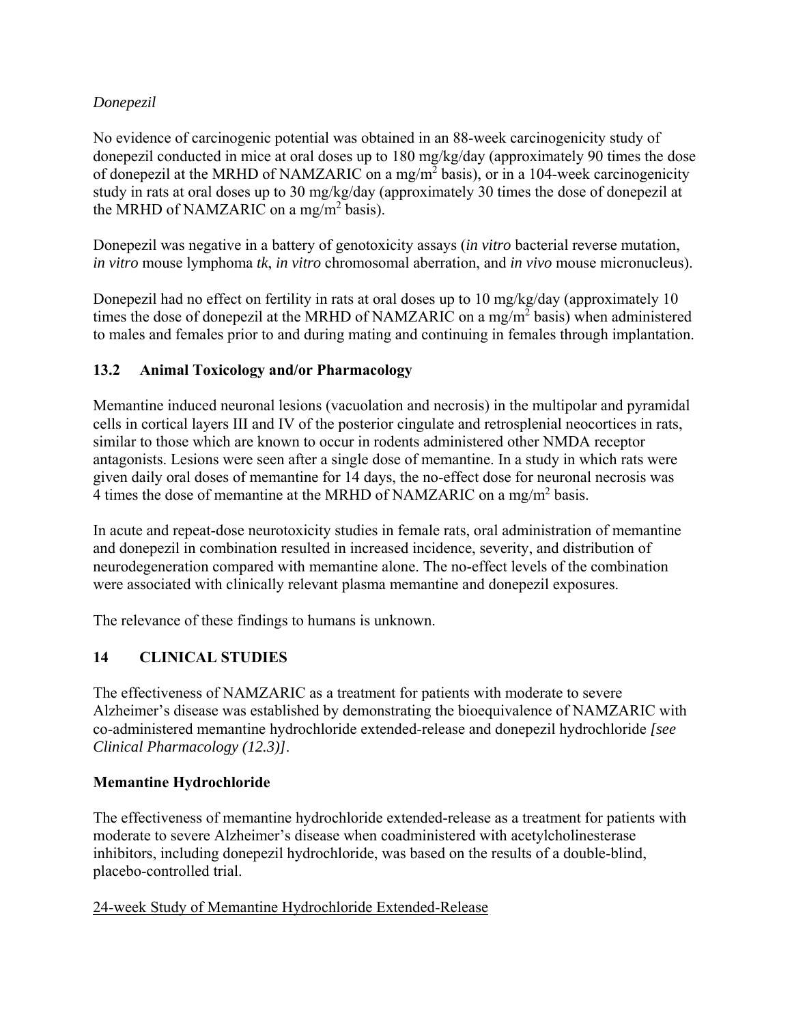## *Donepezil*

No evidence of carcinogenic potential was obtained in an 88-week carcinogenicity study of donepezil conducted in mice at oral doses up to 180 mg/kg/day (approximately 90 times the dose of donepezil at the MRHD of NAMZARIC on a mg/m<sup>2</sup> basis), or in a 104-week carcinogenicity study in rats at oral doses up to 30 mg/kg/day (approximately 30 times the dose of donepezil at the MRHD of NAMZARIC on a mg/m<sup>2</sup> basis).

Donepezil was negative in a battery of genotoxicity assays (*in vitro* bacterial reverse mutation, *in vitro* mouse lymphoma *tk*, *in vitro* chromosomal aberration, and *in vivo* mouse micronucleus).

Donepezil had no effect on fertility in rats at oral doses up to 10 mg/kg/day (approximately 10 times the dose of donepezil at the MRHD of NAMZARIC on a mg/m<sup>2</sup> basis) when administered to males and females prior to and during mating and continuing in females through implantation.

## **13.2 Animal Toxicology and/or Pharmacology**

Memantine induced neuronal lesions (vacuolation and necrosis) in the multipolar and pyramidal cells in cortical layers III and IV of the posterior cingulate and retrosplenial neocortices in rats, similar to those which are known to occur in rodents administered other NMDA receptor antagonists. Lesions were seen after a single dose of memantine. In a study in which rats were given daily oral doses of memantine for 14 days, the no-effect dose for neuronal necrosis was 4 times the dose of memantine at the MRHD of NAMZARIC on a mg/m<sup>2</sup> basis.

In acute and repeat-dose neurotoxicity studies in female rats, oral administration of memantine and donepezil in combination resulted in increased incidence, severity, and distribution of neurodegeneration compared with memantine alone. The no-effect levels of the combination were associated with clinically relevant plasma memantine and donepezil exposures.

The relevance of these findings to humans is unknown.

# **14 CLINICAL STUDIES**

The effectiveness of NAMZARIC as a treatment for patients with moderate to severe Alzheimer's disease was established by demonstrating the bioequivalence of NAMZARIC with co-administered memantine hydrochloride extended-release and donepezil hydrochloride *[see Clinical Pharmacology (12.3)]*.

## **Memantine Hydrochloride**

The effectiveness of memantine hydrochloride extended-release as a treatment for patients with moderate to severe Alzheimer's disease when coadministered with acetylcholinesterase inhibitors, including donepezil hydrochloride, was based on the results of a double-blind, placebo-controlled trial.

## 24-week Study of Memantine Hydrochloride Extended-Release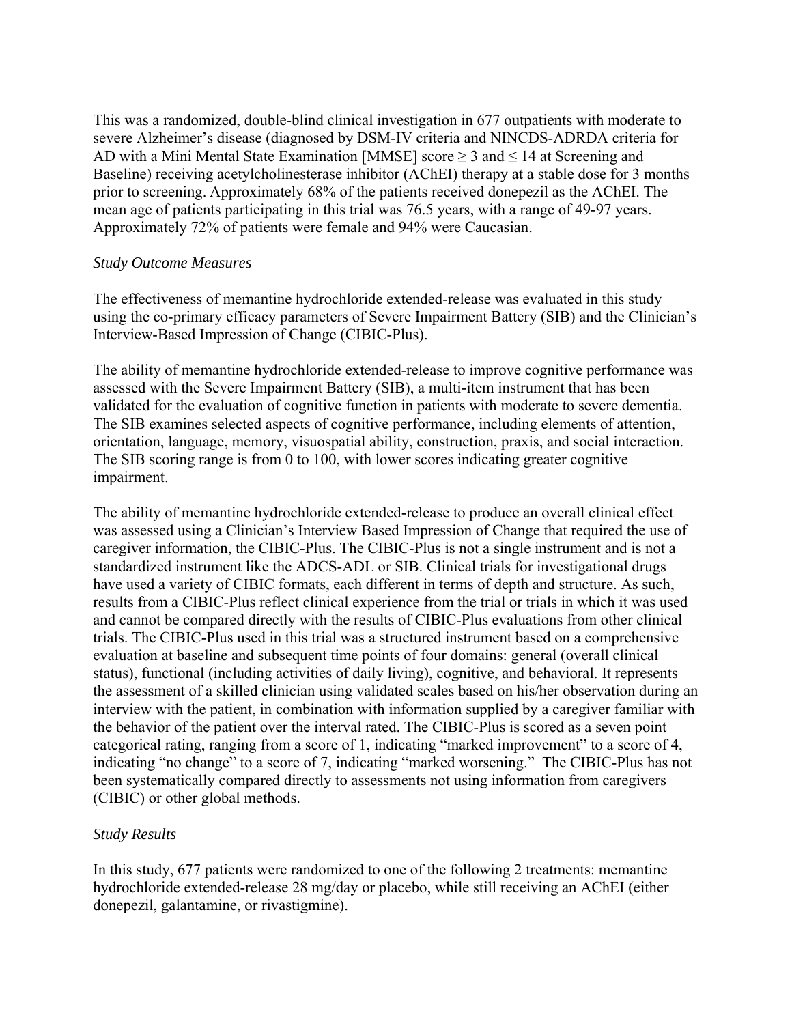This was a randomized, double-blind clinical investigation in 677 outpatients with moderate to severe Alzheimer's disease (diagnosed by DSM-IV criteria and NINCDS-ADRDA criteria for AD with a Mini Mental State Examination [MMSE] score  $\geq$  3 and  $\leq$  14 at Screening and Baseline) receiving acetylcholinesterase inhibitor (AChEI) therapy at a stable dose for 3 months prior to screening. Approximately 68% of the patients received donepezil as the AChEI. The mean age of patients participating in this trial was 76.5 years, with a range of 49-97 years. Approximately 72% of patients were female and 94% were Caucasian.

#### *Study Outcome Measures*

The effectiveness of memantine hydrochloride extended-release was evaluated in this study using the co-primary efficacy parameters of Severe Impairment Battery (SIB) and the Clinician's Interview-Based Impression of Change (CIBIC-Plus).

The ability of memantine hydrochloride extended-release to improve cognitive performance was assessed with the Severe Impairment Battery (SIB), a multi-item instrument that has been validated for the evaluation of cognitive function in patients with moderate to severe dementia. The SIB examines selected aspects of cognitive performance, including elements of attention, orientation, language, memory, visuospatial ability, construction, praxis, and social interaction. The SIB scoring range is from 0 to 100, with lower scores indicating greater cognitive impairment.

The ability of memantine hydrochloride extended-release to produce an overall clinical effect was assessed using a Clinician's Interview Based Impression of Change that required the use of caregiver information, the CIBIC-Plus. The CIBIC-Plus is not a single instrument and is not a standardized instrument like the ADCS-ADL or SIB. Clinical trials for investigational drugs have used a variety of CIBIC formats, each different in terms of depth and structure. As such, results from a CIBIC-Plus reflect clinical experience from the trial or trials in which it was used and cannot be compared directly with the results of CIBIC-Plus evaluations from other clinical trials. The CIBIC-Plus used in this trial was a structured instrument based on a comprehensive evaluation at baseline and subsequent time points of four domains: general (overall clinical status), functional (including activities of daily living), cognitive, and behavioral. It represents the assessment of a skilled clinician using validated scales based on his/her observation during an interview with the patient, in combination with information supplied by a caregiver familiar with the behavior of the patient over the interval rated. The CIBIC-Plus is scored as a seven point categorical rating, ranging from a score of 1, indicating "marked improvement" to a score of 4, indicating "no change" to a score of 7, indicating "marked worsening." The CIBIC-Plus has not been systematically compared directly to assessments not using information from caregivers (CIBIC) or other global methods.

## *Study Results*

In this study, 677 patients were randomized to one of the following 2 treatments: memantine hydrochloride extended-release 28 mg/day or placebo, while still receiving an AChEI (either donepezil, galantamine, or rivastigmine).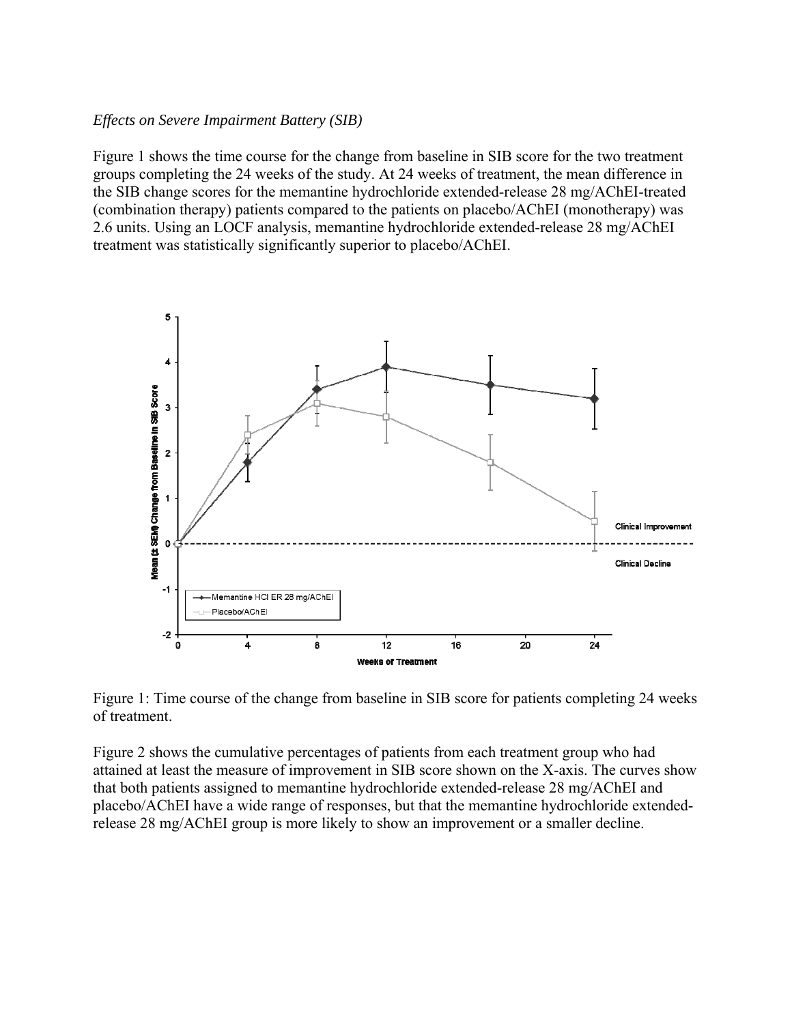#### *Effects on Severe Impairment Battery (SIB)*

Figure 1 shows the time course for the change from baseline in SIB score for the two treatment groups completing the 24 weeks of the study. At 24 weeks of treatment, the mean difference in the SIB change scores for the memantine hydrochloride extended-release 28 mg/AChEI-treated (combination therapy) patients compared to the patients on placebo/AChEI (monotherapy) was 2.6 units. Using an LOCF analysis, memantine hydrochloride extended-release 28 mg/AChEI treatment was statistically significantly superior to placebo/AChEI.



Figure 1: Time course of the change from baseline in SIB score for patients completing 24 weeks of treatment.

Figure 2 shows the cumulative percentages of patients from each treatment group who had attained at least the measure of improvement in SIB score shown on the X-axis. The curves show that both patients assigned to memantine hydrochloride extended-release 28 mg/AChEI and placebo/AChEI have a wide range of responses, but that the memantine hydrochloride extendedrelease 28 mg/AChEI group is more likely to show an improvement or a smaller decline.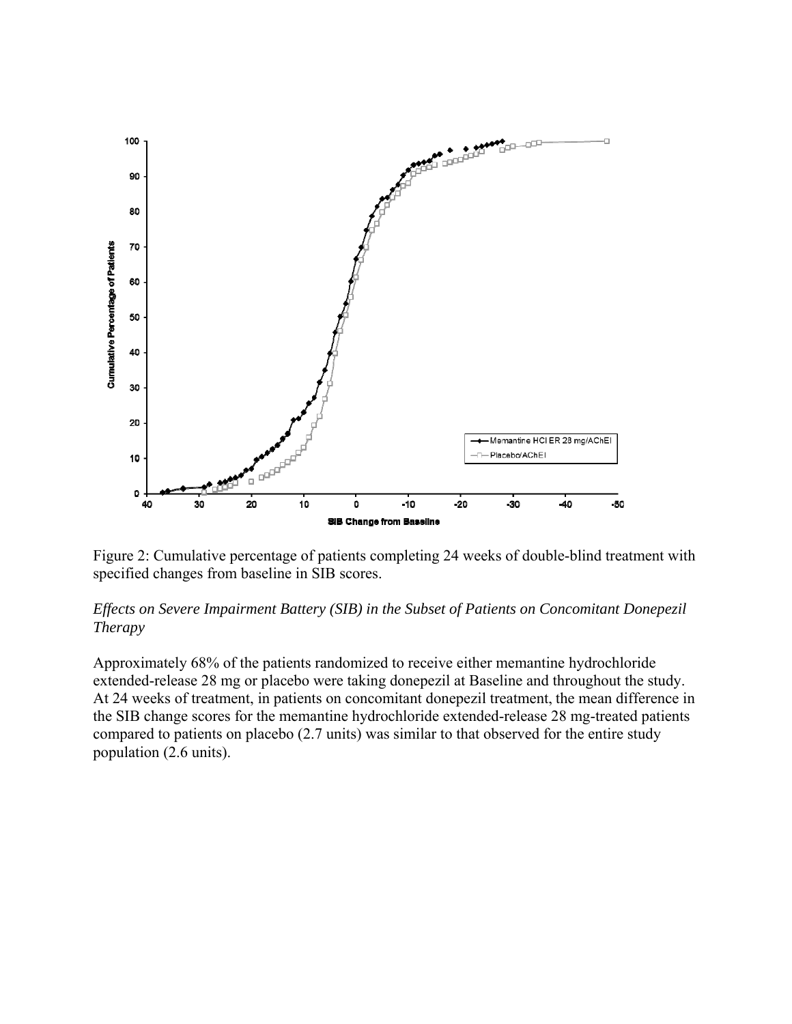

Figure 2: Cumulative percentage of patients completing 24 weeks of double-blind treatment with specified changes from baseline in SIB scores.

#### *Effects on Severe Impairment Battery (SIB) in the Subset of Patients on Concomitant Donepezil Therapy*

Approximately 68% of the patients randomized to receive either memantine hydrochloride extended-release 28 mg or placebo were taking donepezil at Baseline and throughout the study. At 24 weeks of treatment, in patients on concomitant donepezil treatment, the mean difference in the SIB change scores for the memantine hydrochloride extended-release 28 mg-treated patients compared to patients on placebo (2.7 units) was similar to that observed for the entire study population (2.6 units).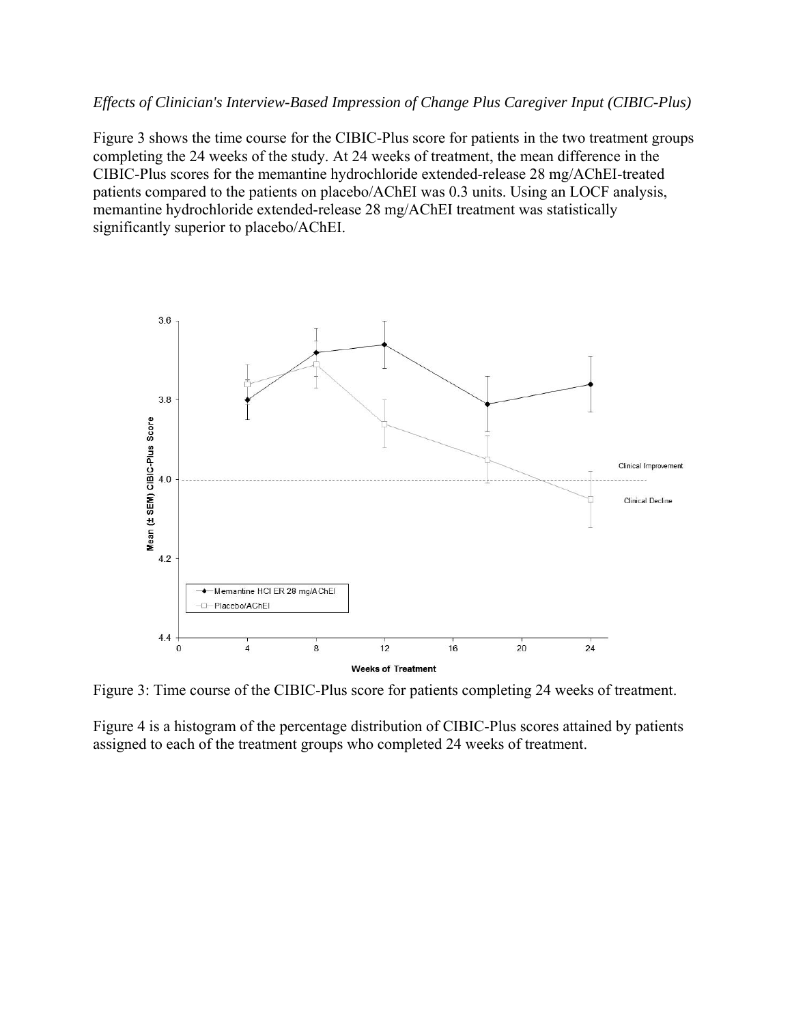#### *Effects of Clinician's Interview-Based Impression of Change Plus Caregiver Input (CIBIC-Plus)*

Figure 3 shows the time course for the CIBIC-Plus score for patients in the two treatment groups completing the 24 weeks of the study. At 24 weeks of treatment, the mean difference in the CIBIC-Plus scores for the memantine hydrochloride extended-release 28 mg/AChEI-treated patients compared to the patients on placebo/AChEI was 0.3 units. Using an LOCF analysis, memantine hydrochloride extended-release 28 mg/AChEI treatment was statistically significantly superior to placebo/AChEI.



Figure 3: Time course of the CIBIC-Plus score for patients completing 24 weeks of treatment.

Figure 4 is a histogram of the percentage distribution of CIBIC-Plus scores attained by patients assigned to each of the treatment groups who completed 24 weeks of treatment.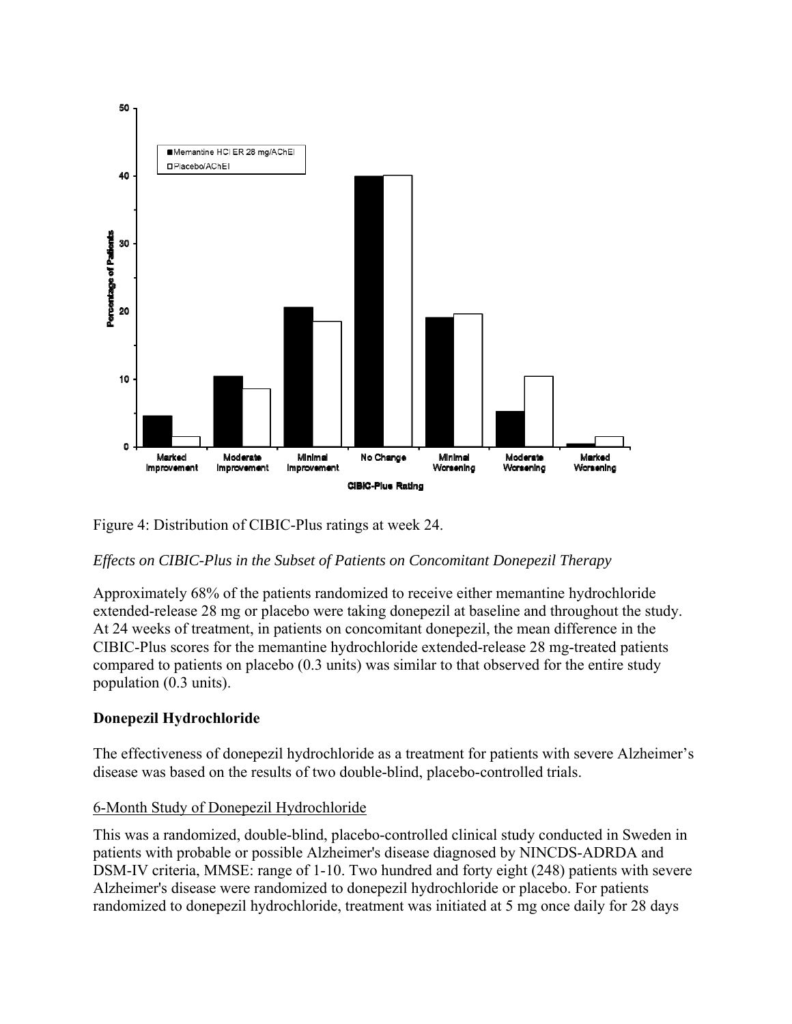

Figure 4: Distribution of CIBIC-Plus ratings at week 24.

## *Effects on CIBIC-Plus in the Subset of Patients on Concomitant Donepezil Therapy*

Approximately 68% of the patients randomized to receive either memantine hydrochloride extended-release 28 mg or placebo were taking donepezil at baseline and throughout the study. At 24 weeks of treatment, in patients on concomitant donepezil, the mean difference in the CIBIC-Plus scores for the memantine hydrochloride extended-release 28 mg-treated patients compared to patients on placebo (0.3 units) was similar to that observed for the entire study population (0.3 units).

## **Donepezil Hydrochloride**

The effectiveness of donepezil hydrochloride as a treatment for patients with severe Alzheimer's disease was based on the results of two double-blind, placebo-controlled trials.

## 6-Month Study of Donepezil Hydrochloride

This was a randomized, double-blind, placebo-controlled clinical study conducted in Sweden in patients with probable or possible Alzheimer's disease diagnosed by NINCDS-ADRDA and DSM-IV criteria, MMSE: range of 1-10. Two hundred and forty eight (248) patients with severe Alzheimer's disease were randomized to donepezil hydrochloride or placebo. For patients randomized to donepezil hydrochloride, treatment was initiated at 5 mg once daily for 28 days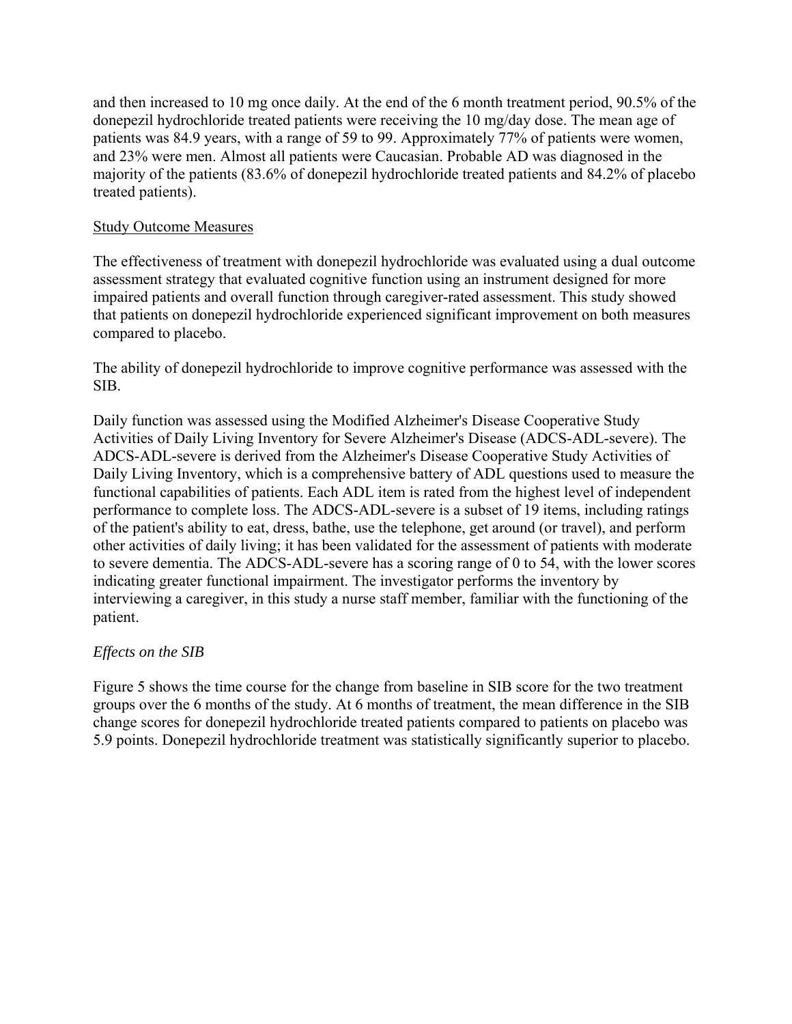and then increased to 10 mg once daily. At the end of the 6 month treatment period, 90.5% of the donepezil hydrochloride treated patients were receiving the 10 mg/day dose. The mean age of patients was 84.9 years, with a range of 59 to 99. Approximately 77% of patients were women, and 23% were men. Almost all patients were Caucasian. Probable AD was diagnosed in the majority of the patients (83.6% of donepezil hydrochloride treated patients and 84.2% of placebo treated patients).

#### Study Outcome Measures

The effectiveness of treatment with donepezil hydrochloride was evaluated using a dual outcome assessment strategy that evaluated cognitive function using an instrument designed for more impaired patients and overall function through caregiver-rated assessment. This study showed that patients on donepezil hydrochloride experienced significant improvement on both measures compared to placebo.

The ability of donepezil hydrochloride to improve cognitive performance was assessed with the SIB.

Daily function was assessed using the Modified Alzheimer's Disease Cooperative Study Activities of Daily Living Inventory for Severe Alzheimer's Disease (ADCS-ADL-severe). The ADCS-ADL-severe is derived from the Alzheimer's Disease Cooperative Study Activities of Daily Living Inventory, which is a comprehensive battery of ADL questions used to measure the functional capabilities of patients. Each ADL item is rated from the highest level of independent performance to complete loss. The ADCS-ADL-severe is a subset of 19 items, including ratings of the patient's ability to eat, dress, bathe, use the telephone, get around (or travel), and perform other activities of daily living; it has been validated for the assessment of patients with moderate to severe dementia. The ADCS-ADL-severe has a scoring range of 0 to 54, with the lower scores indicating greater functional impairment. The investigator performs the inventory by interviewing a caregiver, in this study a nurse staff member, familiar with the functioning of the patient.

## *Effects on the SIB*

Figure 5 shows the time course for the change from baseline in SIB score for the two treatment groups over the 6 months of the study. At 6 months of treatment, the mean difference in the SIB change scores for donepezil hydrochloride treated patients compared to patients on placebo was 5.9 points. Donepezil hydrochloride treatment was statistically significantly superior to placebo.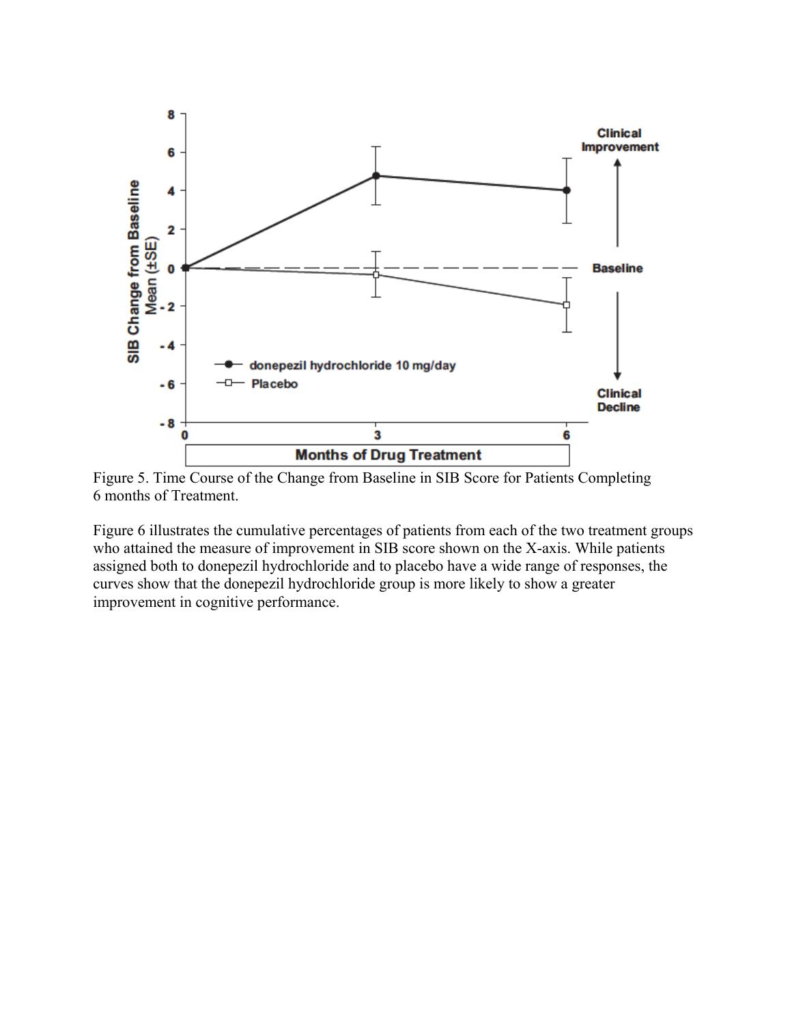

Figure 5. Time Course of the Change from Baseline in SIB Score for Patients Completing 6 months of Treatment.

Figure 6 illustrates the cumulative percentages of patients from each of the two treatment groups who attained the measure of improvement in SIB score shown on the X-axis. While patients assigned both to donepezil hydrochloride and to placebo have a wide range of responses, the curves show that the donepezil hydrochloride group is more likely to show a greater improvement in cognitive performance.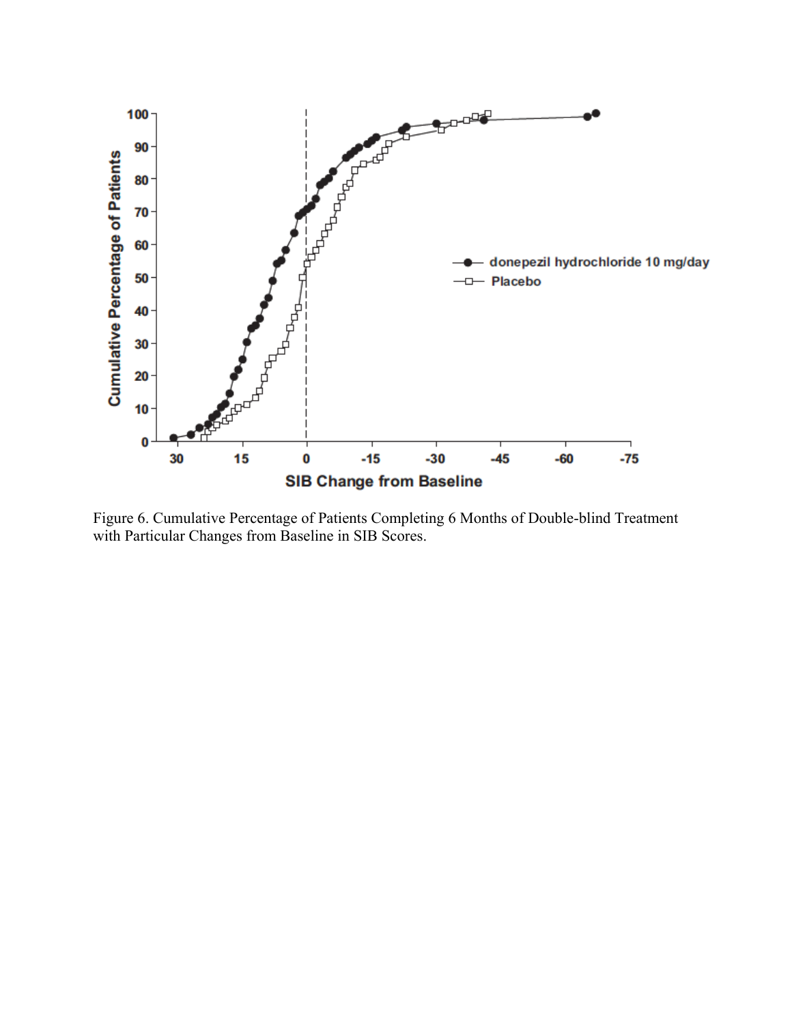

Figure 6. Cumulative Percentage of Patients Completing 6 Months of Double-blind Treatment with Particular Changes from Baseline in SIB Scores.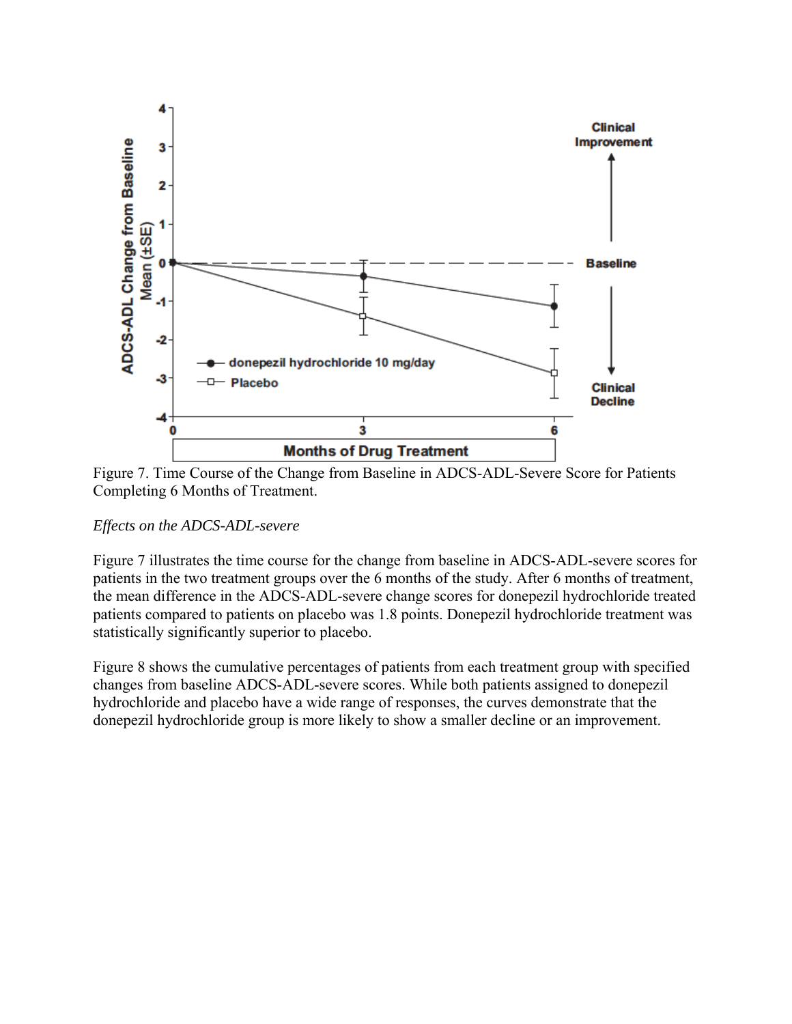

Figure 7. Time Course of the Change from Baseline in ADCS-ADL-Severe Score for Patients Completing 6 Months of Treatment.

## *Effects on the ADCS-ADL-severe*

Figure 7 illustrates the time course for the change from baseline in ADCS-ADL-severe scores for patients in the two treatment groups over the 6 months of the study. After 6 months of treatment, the mean difference in the ADCS-ADL-severe change scores for donepezil hydrochloride treated patients compared to patients on placebo was 1.8 points. Donepezil hydrochloride treatment was statistically significantly superior to placebo.

Figure 8 shows the cumulative percentages of patients from each treatment group with specified changes from baseline ADCS-ADL-severe scores. While both patients assigned to donepezil hydrochloride and placebo have a wide range of responses, the curves demonstrate that the donepezil hydrochloride group is more likely to show a smaller decline or an improvement.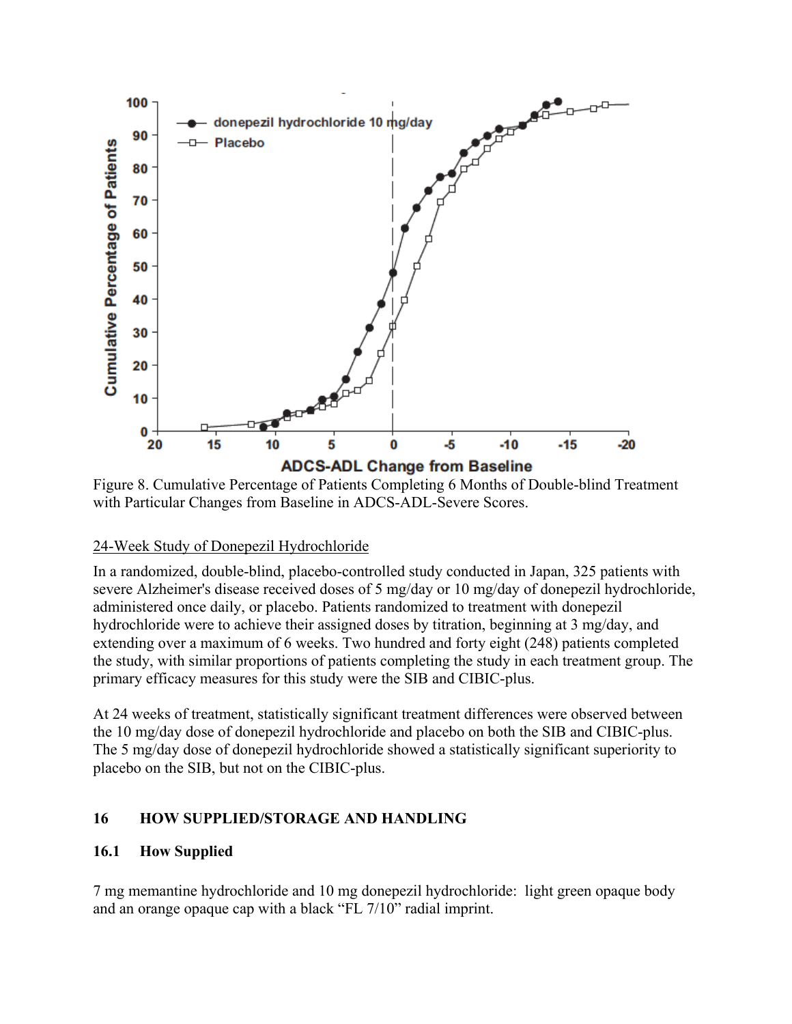

Figure 8. Cumulative Percentage of Patients Completing 6 Months of Double-blind Treatment with Particular Changes from Baseline in ADCS-ADL-Severe Scores.

#### 24-Week Study of Donepezil Hydrochloride

In a randomized, double-blind, placebo-controlled study conducted in Japan, 325 patients with severe Alzheimer's disease received doses of 5 mg/day or 10 mg/day of donepezil hydrochloride, administered once daily, or placebo. Patients randomized to treatment with donepezil hydrochloride were to achieve their assigned doses by titration, beginning at 3 mg/day, and extending over a maximum of 6 weeks. Two hundred and forty eight (248) patients completed the study, with similar proportions of patients completing the study in each treatment group. The primary efficacy measures for this study were the SIB and CIBIC-plus.

At 24 weeks of treatment, statistically significant treatment differences were observed between the 10 mg/day dose of donepezil hydrochloride and placebo on both the SIB and CIBIC-plus. The 5 mg/day dose of donepezil hydrochloride showed a statistically significant superiority to placebo on the SIB, but not on the CIBIC-plus.

## **16 HOW SUPPLIED/STORAGE AND HANDLING**

## **16.1 How Supplied**

7 mg memantine hydrochloride and 10 mg donepezil hydrochloride: light green opaque body and an orange opaque cap with a black "FL 7/10" radial imprint.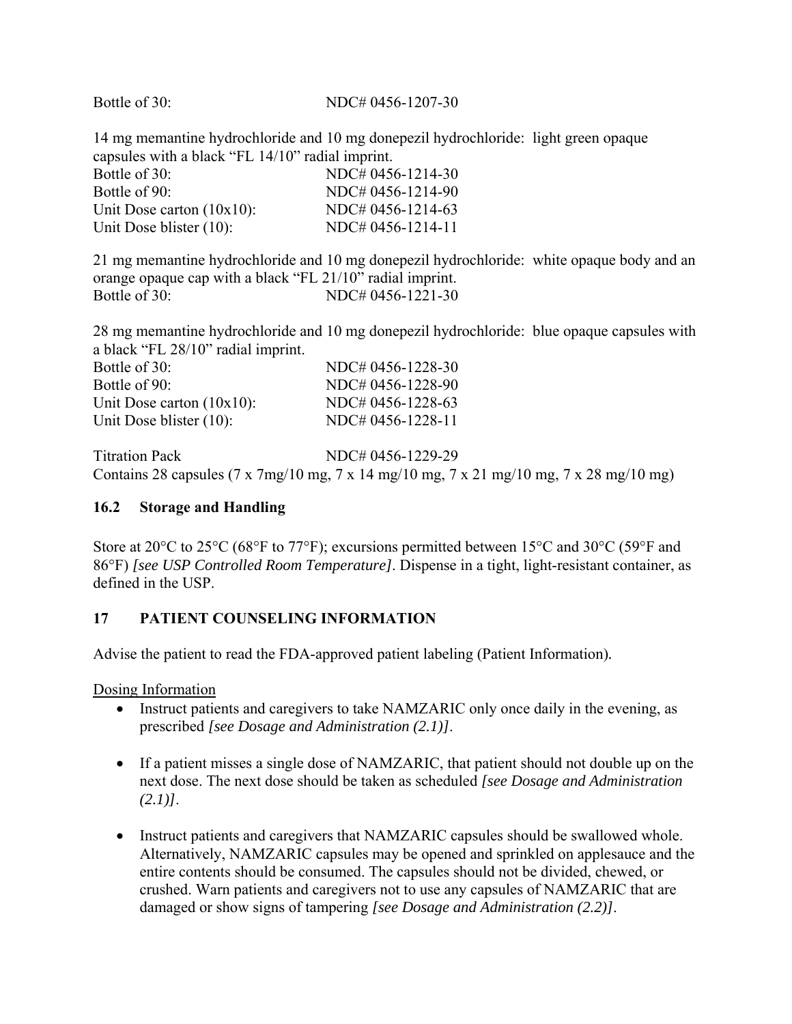#### Bottle of 30: NDC# 0456-1207-30

14 mg memantine hydrochloride and 10 mg donepezil hydrochloride: light green opaque capsules with a black "FL 14/10" radial imprint.

| Bottle of 30:                | NDC# 0456-1214-30 |
|------------------------------|-------------------|
| Bottle of 90:                | NDC# 0456-1214-90 |
| Unit Dose carton $(10x10)$ : | NDC# 0456-1214-63 |
| Unit Dose blister $(10)$ :   | NDC# 0456-1214-11 |

21 mg memantine hydrochloride and 10 mg donepezil hydrochloride: white opaque body and an orange opaque cap with a black "FL 21/10" radial imprint. Bottle of 30: NDC# 0456-1221-30

28 mg memantine hydrochloride and 10 mg donepezil hydrochloride: blue opaque capsules with a black "FL 28/10" radial imprint.

| Bottle of 30:                | NDC# 0456-1228-30 |
|------------------------------|-------------------|
| Bottle of 90:                | NDC# 0456-1228-90 |
| Unit Dose carton $(10x10)$ : | NDC# 0456-1228-63 |
| Unit Dose blister $(10)$ :   | NDC# 0456-1228-11 |

Titration Pack NDC# 0456-1229-29 Contains 28 capsules (7 x 7mg/10 mg, 7 x 14 mg/10 mg, 7 x 21 mg/10 mg, 7 x 28 mg/10 mg)

#### **16.2 Storage and Handling**

Store at 20°C to 25°C (68°F to 77°F); excursions permitted between 15°C and 30°C (59°F and 86°F) *[see USP Controlled Room Temperature]*. Dispense in a tight, light-resistant container, as defined in the USP.

## **17 PATIENT COUNSELING INFORMATION**

Advise the patient to read the FDA-approved patient labeling (Patient Information)*.* 

Dosing Information

- Instruct patients and caregivers to take NAMZARIC only once daily in the evening, as prescribed *[see Dosage and Administration (2.1)]*.
- If a patient misses a single dose of NAMZARIC, that patient should not double up on the next dose. The next dose should be taken as scheduled *[see Dosage and Administration (2.1)]*.
- Instruct patients and caregivers that NAMZARIC capsules should be swallowed whole. Alternatively, NAMZARIC capsules may be opened and sprinkled on applesauce and the entire contents should be consumed. The capsules should not be divided, chewed, or crushed. Warn patients and caregivers not to use any capsules of NAMZARIC that are damaged or show signs of tampering *[see Dosage and Administration (2.2)]*.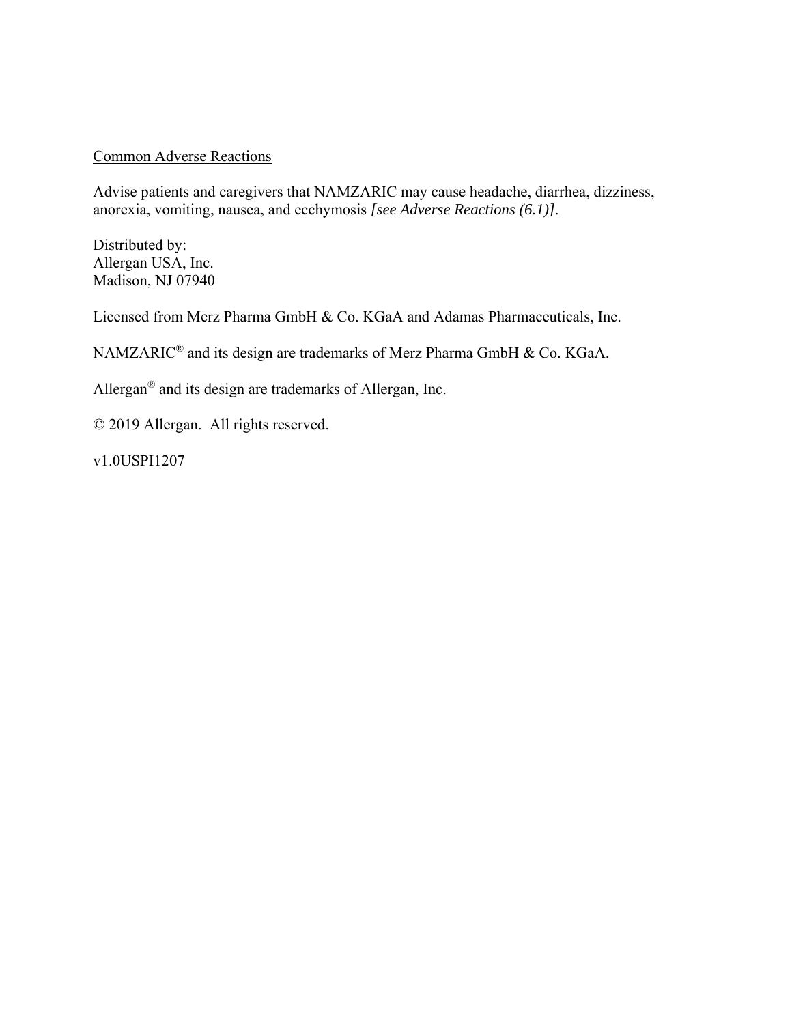#### Common Adverse Reactions

Advise patients and caregivers that NAMZARIC may cause headache, diarrhea, dizziness, anorexia, vomiting, nausea, and ecchymosis *[see Adverse Reactions (6.1)]*.

Distributed by: Allergan USA, Inc. Madison, NJ 07940

Licensed from Merz Pharma GmbH & Co. KGaA and Adamas Pharmaceuticals, Inc.

NAMZARIC® and its design are trademarks of Merz Pharma GmbH & Co. KGaA.

Allergan® and its design are trademarks of Allergan, Inc.

© 2019 Allergan. All rights reserved.

v1.0USPI1207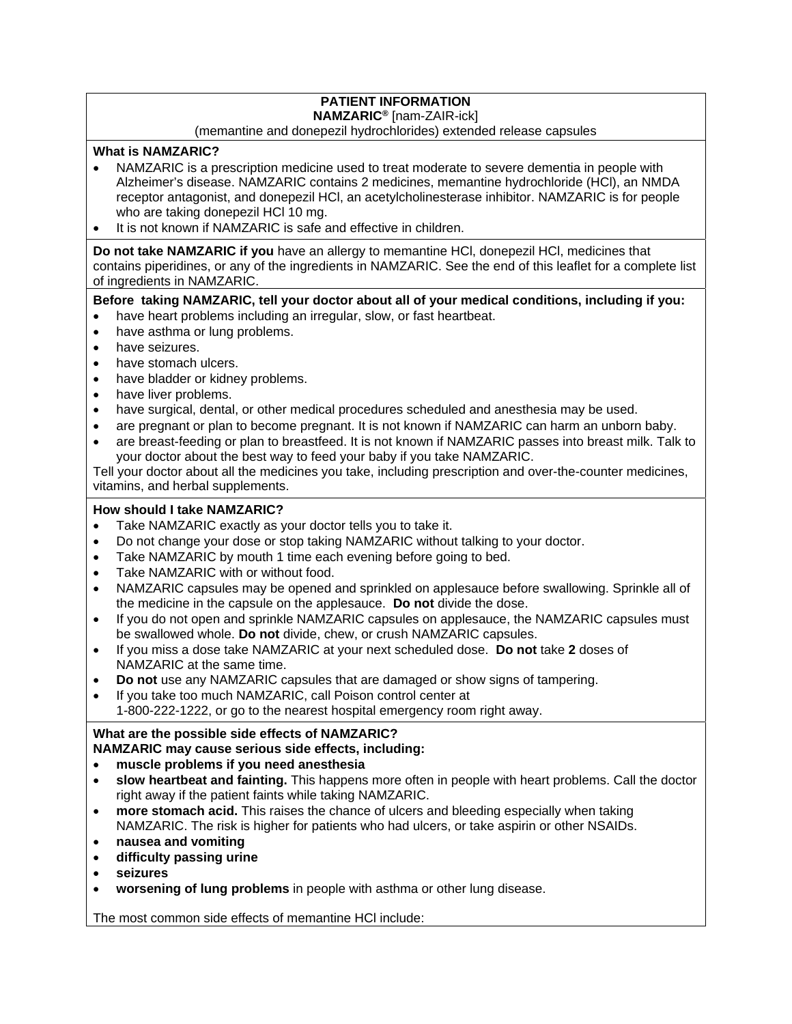# **PATIENT INFORMATION**

#### **NAMZARIC®** [nam-ZAIR-ick]

#### (memantine and donepezil hydrochlorides) extended release capsules

#### **What is NAMZARIC?**

- NAMZARIC is a prescription medicine used to treat moderate to severe dementia in people with Alzheimer's disease. NAMZARIC contains 2 medicines, memantine hydrochloride (HCl), an NMDA receptor antagonist, and donepezil HCl, an acetylcholinesterase inhibitor. NAMZARIC is for people who are taking donepezil HCl 10 mg.
- It is not known if NAMZARIC is safe and effective in children.

**Do not take NAMZARIC if you** have an allergy to memantine HCl, donepezil HCl, medicines that contains piperidines, or any of the ingredients in NAMZARIC. See the end of this leaflet for a complete list of ingredients in NAMZARIC.

#### **Before taking NAMZARIC, tell your doctor about all of your medical conditions, including if you:**

- have heart problems including an irregular, slow, or fast heartbeat.
- have asthma or lung problems.
- have seizures.
- have stomach ulcers.
- have bladder or kidney problems.
- have liver problems.
- have surgical, dental, or other medical procedures scheduled and anesthesia may be used.
- are pregnant or plan to become pregnant. It is not known if NAMZARIC can harm an unborn baby.
- are breast-feeding or plan to breastfeed. It is not known if NAMZARIC passes into breast milk. Talk to your doctor about the best way to feed your baby if you take NAMZARIC.

Tell your doctor about all the medicines you take, including prescription and over-the-counter medicines, vitamins, and herbal supplements.

#### **How should I take NAMZARIC?**

- Take NAMZARIC exactly as your doctor tells you to take it.
- Do not change your dose or stop taking NAMZARIC without talking to your doctor.
- Take NAMZARIC by mouth 1 time each evening before going to bed.
- Take NAMZARIC with or without food.
- NAMZARIC capsules may be opened and sprinkled on applesauce before swallowing. Sprinkle all of the medicine in the capsule on the applesauce. **Do not** divide the dose.
- If you do not open and sprinkle NAMZARIC capsules on applesauce, the NAMZARIC capsules must be swallowed whole. **Do not** divide, chew, or crush NAMZARIC capsules.
- If you miss a dose take NAMZARIC at your next scheduled dose. **Do not** take **2** doses of NAMZARIC at the same time.
- **Do not** use any NAMZARIC capsules that are damaged or show signs of tampering.
- If you take too much NAMZARIC, call Poison control center at

1-800-222-1222, or go to the nearest hospital emergency room right away.

## **What are the possible side effects of NAMZARIC?**

#### **NAMZARIC may cause serious side effects, including:**

- **muscle problems if you need anesthesia**
- **slow heartbeat and fainting.** This happens more often in people with heart problems. Call the doctor right away if the patient faints while taking NAMZARIC.
- **more stomach acid.** This raises the chance of ulcers and bleeding especially when taking NAMZARIC. The risk is higher for patients who had ulcers, or take aspirin or other NSAIDs.
- **nausea and vomiting**
- **difficulty passing urine**
- **seizures**
- **worsening of lung problems** in people with asthma or other lung disease.

The most common side effects of memantine HCl include: